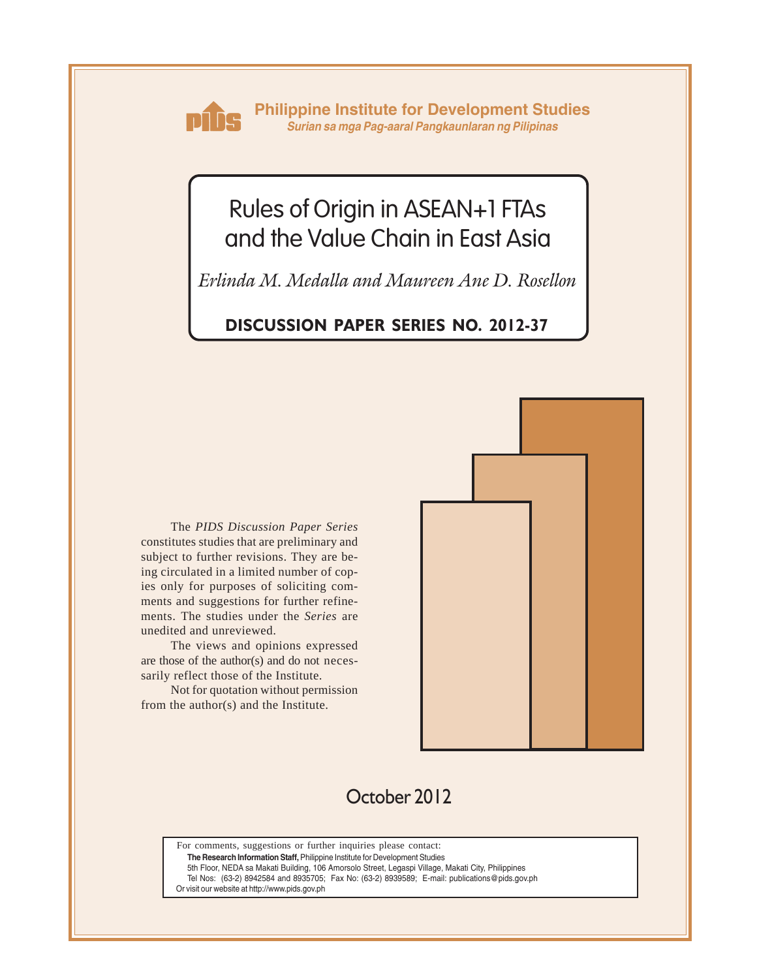

**Philippine Institute for Development Studies** *Surian sa mga Pag-aaral Pangkaunlaran ng Pilipinas*

# Rules of Origin in ASEAN+1 FTAs and the Value Chain in East Asia

*Erlinda M. Medalla and Maureen Ane D. Rosellon*

### **DISCUSSION PAPER SERIES NO. 2012-37**

The *PIDS Discussion Paper Series* constitutes studies that are preliminary and subject to further revisions. They are being circulated in a limited number of copies only for purposes of soliciting comments and suggestions for further refinements. The studies under the *Series* are unedited and unreviewed.

The views and opinions expressed are those of the author(s) and do not necessarily reflect those of the Institute.

Not for quotation without permission from the author(s) and the Institute.



# October 2012

For comments, suggestions or further inquiries please contact:

**The Research Information Staff,** Philippine Institute for Development Studies

5th Floor, NEDA sa Makati Building, 106 Amorsolo Street, Legaspi Village, Makati City, Philippines

Tel Nos: (63-2) 8942584 and 8935705; Fax No: (63-2) 8939589; E-mail: publications@pids.gov.ph

Or visit our website at http://www.pids.gov.ph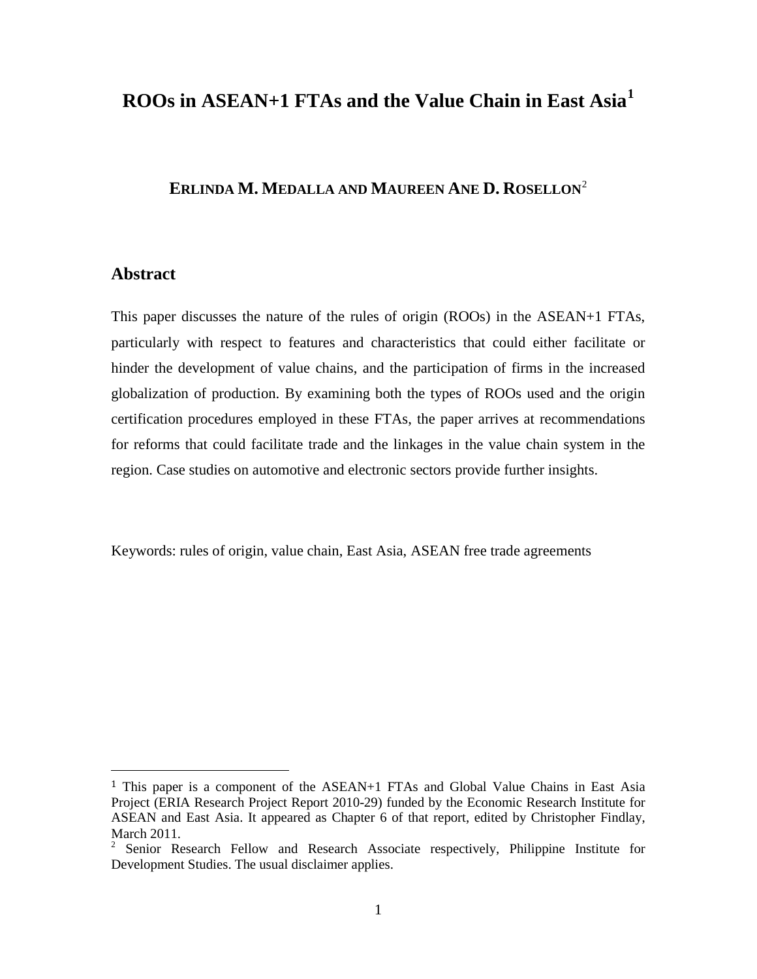### **ROOs in ASEAN+1 FTAs and the Value Chain in East Asia[1](#page-1-0)**

## **ERLINDA M. MEDALLA AND MAUREEN ANE D. ROSELLON**[2](#page-1-1)

#### **Abstract**

This paper discusses the nature of the rules of origin (ROOs) in the ASEAN+1 FTAs, particularly with respect to features and characteristics that could either facilitate or hinder the development of value chains, and the participation of firms in the increased globalization of production. By examining both the types of ROOs used and the origin certification procedures employed in these FTAs, the paper arrives at recommendations for reforms that could facilitate trade and the linkages in the value chain system in the region. Case studies on automotive and electronic sectors provide further insights.

Keywords: rules of origin, value chain, East Asia, ASEAN free trade agreements

<span id="page-1-0"></span> <sup>1</sup> This paper is a component of the ASEAN+1 FTAs and Global Value Chains in East Asia Project (ERIA Research Project Report 2010-29) funded by the Economic Research Institute for ASEAN and East Asia. It appeared as Chapter 6 of that report, edited by Christopher Findlay, March 2011.

<span id="page-1-1"></span><sup>2</sup> Senior Research Fellow and Research Associate respectively, Philippine Institute for Development Studies. The usual disclaimer applies.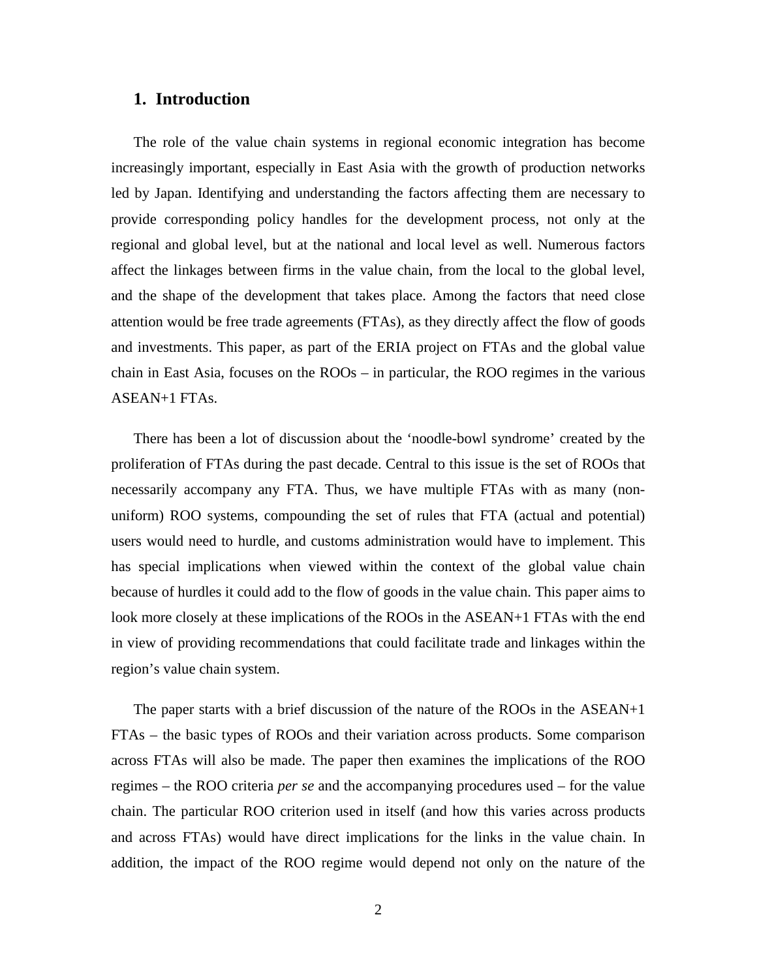#### **1. Introduction**

The role of the value chain systems in regional economic integration has become increasingly important, especially in East Asia with the growth of production networks led by Japan. Identifying and understanding the factors affecting them are necessary to provide corresponding policy handles for the development process, not only at the regional and global level, but at the national and local level as well. Numerous factors affect the linkages between firms in the value chain, from the local to the global level, and the shape of the development that takes place. Among the factors that need close attention would be free trade agreements (FTAs), as they directly affect the flow of goods and investments. This paper, as part of the ERIA project on FTAs and the global value chain in East Asia, focuses on the ROOs – in particular, the ROO regimes in the various ASEAN+1 FTAs.

There has been a lot of discussion about the 'noodle-bowl syndrome' created by the proliferation of FTAs during the past decade. Central to this issue is the set of ROOs that necessarily accompany any FTA. Thus, we have multiple FTAs with as many (nonuniform) ROO systems, compounding the set of rules that FTA (actual and potential) users would need to hurdle, and customs administration would have to implement. This has special implications when viewed within the context of the global value chain because of hurdles it could add to the flow of goods in the value chain. This paper aims to look more closely at these implications of the ROOs in the ASEAN+1 FTAs with the end in view of providing recommendations that could facilitate trade and linkages within the region's value chain system.

The paper starts with a brief discussion of the nature of the ROOs in the ASEAN+1 FTAs – the basic types of ROOs and their variation across products. Some comparison across FTAs will also be made. The paper then examines the implications of the ROO regimes – the ROO criteria *per se* and the accompanying procedures used – for the value chain. The particular ROO criterion used in itself (and how this varies across products and across FTAs) would have direct implications for the links in the value chain. In addition, the impact of the ROO regime would depend not only on the nature of the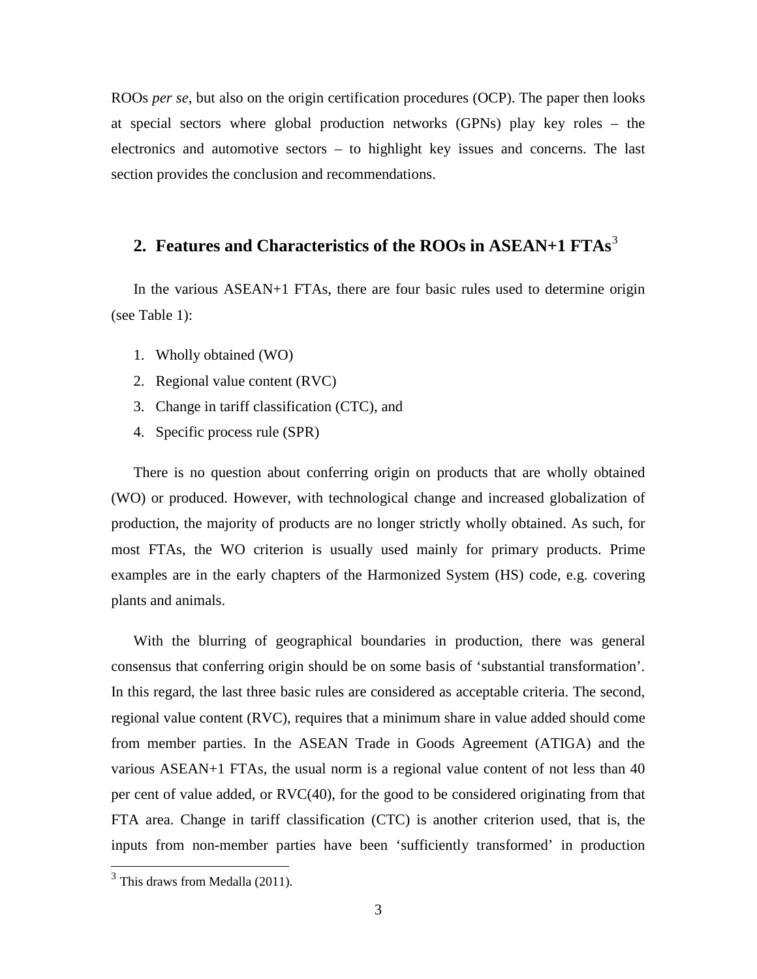ROOs *per se*, but also on the origin certification procedures (OCP). The paper then looks at special sectors where global production networks (GPNs) play key roles – the electronics and automotive sectors – to highlight key issues and concerns. The last section provides the conclusion and recommendations.

# **2. Features and Characteristics of the ROOs in ASEAN+1 FTAs**[3](#page-3-0)

In the various ASEAN+1 FTAs, there are four basic rules used to determine origin (see Table 1):

- 1. Wholly obtained (WO)
- 2. Regional value content (RVC)
- 3. Change in tariff classification (CTC), and
- 4. Specific process rule (SPR)

There is no question about conferring origin on products that are wholly obtained (WO) or produced. However, with technological change and increased globalization of production, the majority of products are no longer strictly wholly obtained. As such, for most FTAs, the WO criterion is usually used mainly for primary products. Prime examples are in the early chapters of the Harmonized System (HS) code, e.g. covering plants and animals.

With the blurring of geographical boundaries in production, there was general consensus that conferring origin should be on some basis of 'substantial transformation'. In this regard, the last three basic rules are considered as acceptable criteria. The second, regional value content (RVC), requires that a minimum share in value added should come from member parties. In the ASEAN Trade in Goods Agreement (ATIGA) and the various ASEAN+1 FTAs, the usual norm is a regional value content of not less than 40 per cent of value added, or RVC(40), for the good to be considered originating from that FTA area. Change in tariff classification (CTC) is another criterion used, that is, the inputs from non-member parties have been 'sufficiently transformed' in production

<span id="page-3-0"></span> $3$  This draws from Medalla (2011).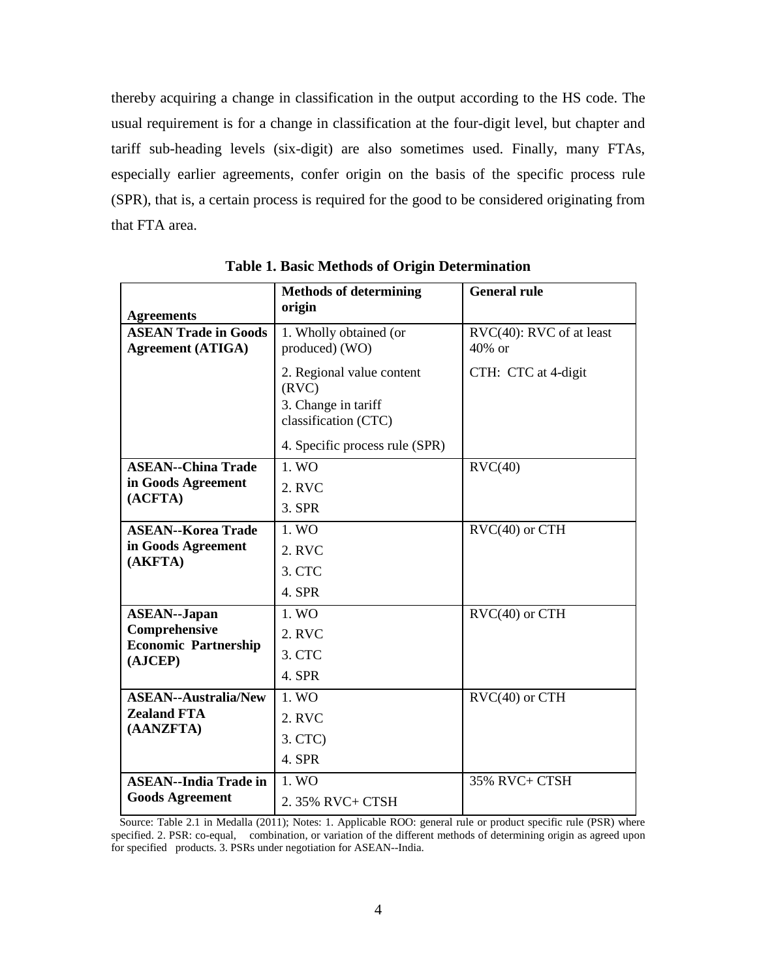thereby acquiring a change in classification in the output according to the HS code. The usual requirement is for a change in classification at the four-digit level, but chapter and tariff sub-heading levels (six-digit) are also sometimes used. Finally, many FTAs, especially earlier agreements, confer origin on the basis of the specific process rule (SPR), that is, a certain process is required for the good to be considered originating from that FTA area.

|                                                  | <b>Methods of determining</b><br>origin                                           | <b>General rule</b>              |
|--------------------------------------------------|-----------------------------------------------------------------------------------|----------------------------------|
| <b>Agreements</b><br><b>ASEAN Trade in Goods</b> | 1. Wholly obtained (or                                                            | RVC(40): RVC of at least         |
| <b>Agreement (ATIGA)</b>                         | produced) (WO)                                                                    | 40% or                           |
|                                                  | 2. Regional value content<br>(RVC)<br>3. Change in tariff<br>classification (CTC) | CTH: CTC at 4-digit              |
|                                                  | 4. Specific process rule (SPR)                                                    |                                  |
| <b>ASEAN--China Trade</b>                        | 1. W <sub>O</sub>                                                                 | $\text{RVC}(40)$                 |
| in Goods Agreement                               | 2. RVC                                                                            |                                  |
| (ACFTA)                                          | 3. SPR                                                                            |                                  |
| <b>ASEAN--Korea Trade</b>                        | 1. W <sub>O</sub>                                                                 | $\text{RVC}(40)$ or $\text{CTH}$ |
| in Goods Agreement                               | 2. RVC                                                                            |                                  |
| (AKFTA)                                          | 3. CTC                                                                            |                                  |
|                                                  | 4. SPR                                                                            |                                  |
| <b>ASEAN--Japan</b>                              | 1. WO                                                                             | $\text{RVC}(40)$ or $\text{CTH}$ |
| Comprehensive                                    | 2. RVC                                                                            |                                  |
| <b>Economic Partnership</b><br>(AJCEP)           | 3. CTC                                                                            |                                  |
|                                                  | 4. SPR                                                                            |                                  |
| <b>ASEAN--Australia/New</b>                      | 1. WO                                                                             | $\text{RVC}(40)$ or $\text{CTH}$ |
| <b>Zealand FTA</b>                               | 2. RVC                                                                            |                                  |
| (AANZFTA)                                        | $3.$ CTC $)$                                                                      |                                  |
|                                                  | 4. SPR                                                                            |                                  |
| <b>ASEAN--India Trade in</b>                     | 1. WO                                                                             | 35% RVC+ CTSH                    |
| <b>Goods Agreement</b>                           | 2.35% RVC+ CTSH                                                                   |                                  |

**Table 1. Basic Methods of Origin Determination**

 Source: Table 2.1 in Medalla (2011); Notes: 1. Applicable ROO: general rule or product specific rule (PSR) where specified. 2. PSR: co-equal, combination, or variation of the different methods of determining origin as agreed upon for specified products. 3. PSRs under negotiation for ASEAN--India.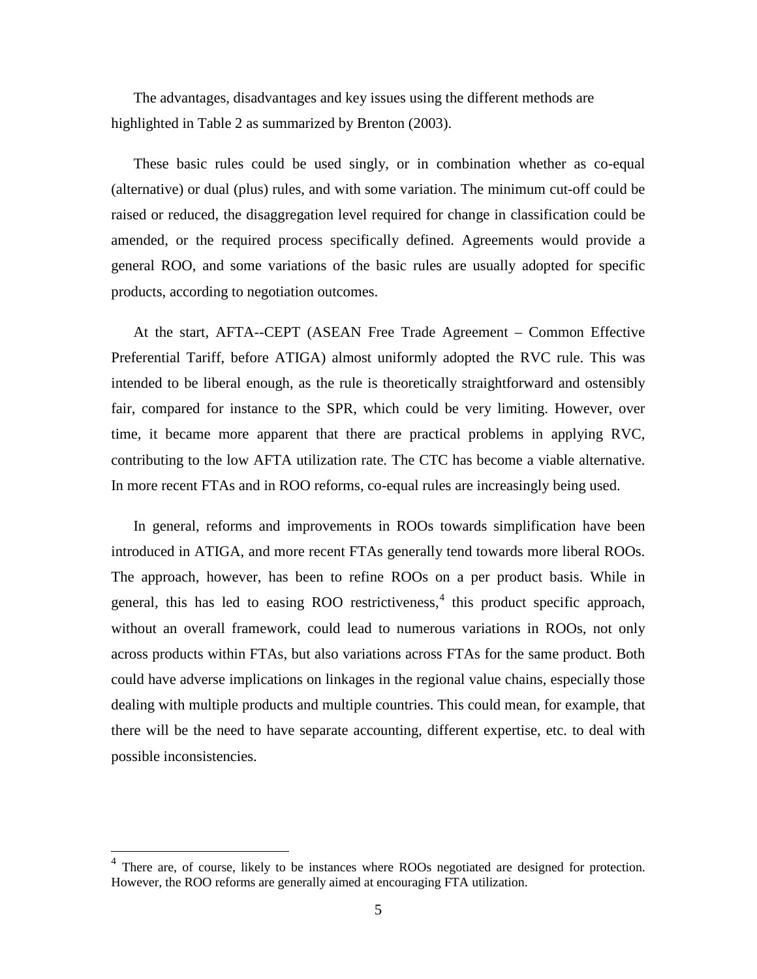The advantages, disadvantages and key issues using the different methods are highlighted in Table 2 as summarized by Brenton (2003).

These basic rules could be used singly, or in combination whether as co-equal (alternative) or dual (plus) rules, and with some variation. The minimum cut-off could be raised or reduced, the disaggregation level required for change in classification could be amended, or the required process specifically defined. Agreements would provide a general ROO, and some variations of the basic rules are usually adopted for specific products, according to negotiation outcomes.

At the start, AFTA--CEPT (ASEAN Free Trade Agreement – Common Effective Preferential Tariff, before ATIGA) almost uniformly adopted the RVC rule. This was intended to be liberal enough, as the rule is theoretically straightforward and ostensibly fair, compared for instance to the SPR, which could be very limiting. However, over time, it became more apparent that there are practical problems in applying RVC, contributing to the low AFTA utilization rate. The CTC has become a viable alternative. In more recent FTAs and in ROO reforms, co-equal rules are increasingly being used.

In general, reforms and improvements in ROOs towards simplification have been introduced in ATIGA, and more recent FTAs generally tend towards more liberal ROOs. The approach, however, has been to refine ROOs on a per product basis. While in general, this has led to easing ROO restrictiveness,  $4$  this product specific approach, without an overall framework, could lead to numerous variations in ROOs, not only across products within FTAs, but also variations across FTAs for the same product. Both could have adverse implications on linkages in the regional value chains, especially those dealing with multiple products and multiple countries. This could mean, for example, that there will be the need to have separate accounting, different expertise, etc. to deal with possible inconsistencies.

<span id="page-5-0"></span><sup>4</sup> There are, of course, likely to be instances where ROOs negotiated are designed for protection. However, the ROO reforms are generally aimed at encouraging FTA utilization.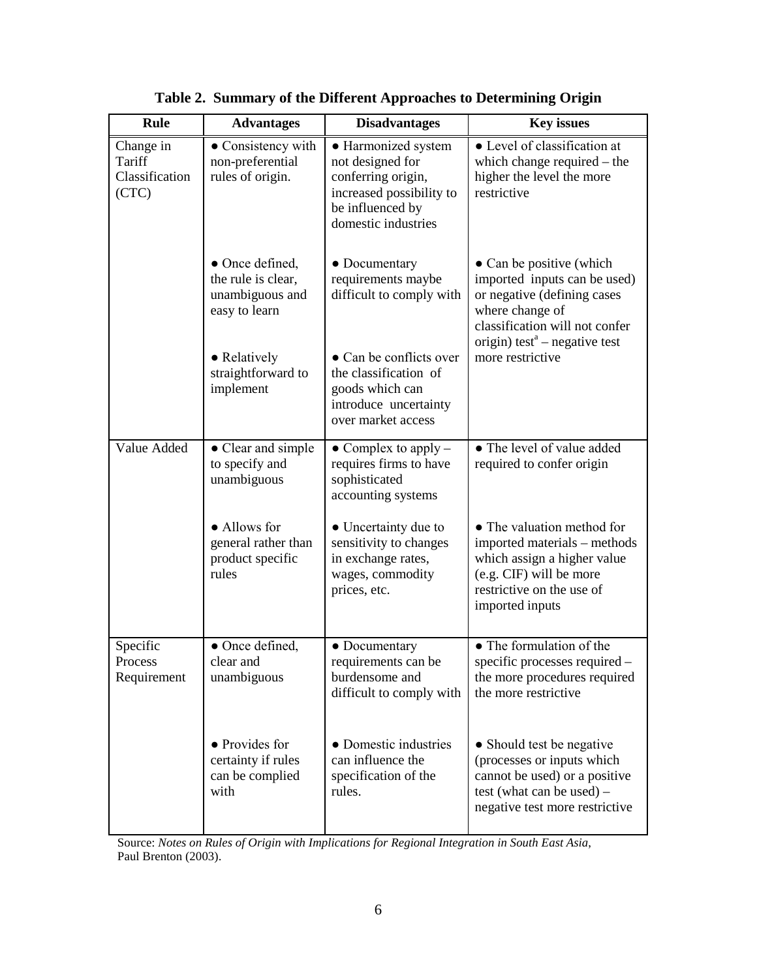| <b>Rule</b>                                    | <b>Advantages</b>                                                         | <b>Disadvantages</b>                                                                                                                 | <b>Key issues</b>                                                                                                                                                                         |
|------------------------------------------------|---------------------------------------------------------------------------|--------------------------------------------------------------------------------------------------------------------------------------|-------------------------------------------------------------------------------------------------------------------------------------------------------------------------------------------|
| Change in<br>Tariff<br>Classification<br>(CTC) | • Consistency with<br>non-preferential<br>rules of origin.                | • Harmonized system<br>not designed for<br>conferring origin,<br>increased possibility to<br>be influenced by<br>domestic industries | • Level of classification at<br>which change required – the<br>higher the level the more<br>restrictive                                                                                   |
|                                                | • Once defined,<br>the rule is clear,<br>unambiguous and<br>easy to learn | • Documentary<br>requirements maybe<br>difficult to comply with                                                                      | • Can be positive (which<br>imported inputs can be used)<br>or negative (defining cases<br>where change of<br>classification will not confer<br>origin) test <sup>a</sup> – negative test |
|                                                | • Relatively<br>straightforward to<br>implement                           | • Can be conflicts over<br>the classification of<br>goods which can<br>introduce uncertainty<br>over market access                   | more restrictive                                                                                                                                                                          |
| Value Added                                    | • Clear and simple<br>to specify and<br>unambiguous                       | • Complex to apply $-$<br>requires firms to have<br>sophisticated<br>accounting systems                                              | • The level of value added<br>required to confer origin                                                                                                                                   |
|                                                | • Allows for<br>general rather than<br>product specific<br>rules          | • Uncertainty due to<br>sensitivity to changes<br>in exchange rates,<br>wages, commodity<br>prices, etc.                             | • The valuation method for<br>imported materials - methods<br>which assign a higher value<br>(e.g. CIF) will be more<br>restrictive on the use of<br>imported inputs                      |
| Specific<br>Process<br>Requirement             | • Once defined,<br>clear and<br>unambiguous                               | • Documentary<br>requirements can be<br>burdensome and<br>difficult to comply with                                                   | • The formulation of the<br>specific processes required –<br>the more procedures required<br>the more restrictive                                                                         |
|                                                | • Provides for<br>certainty if rules<br>can be complied<br>with           | • Domestic industries<br>can influence the<br>specification of the<br>rules.                                                         | • Should test be negative<br>(processes or inputs which<br>cannot be used) or a positive<br>test (what can be used) -<br>negative test more restrictive                                   |

**Table 2. Summary of the Different Approaches to Determining Origin**

 Source: *Notes on Rules of Origin with Implications for Regional Integration in South East Asia*, Paul Brenton (2003).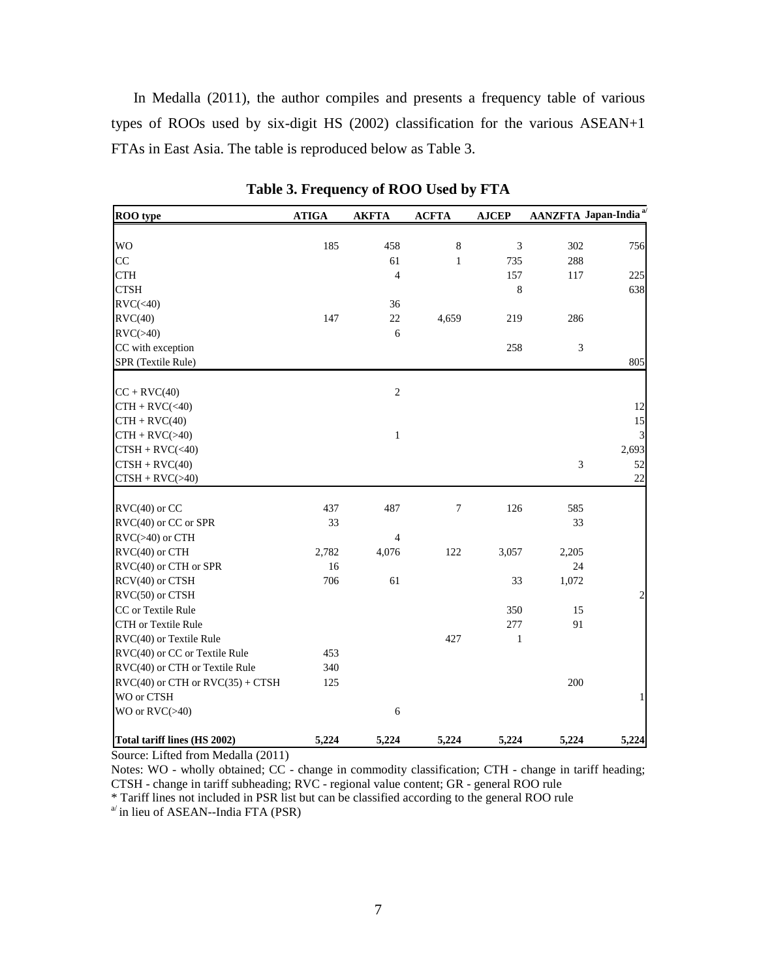In Medalla (2011), the author compiles and presents a frequency table of various types of ROOs used by six-digit HS (2002) classification for the various ASEAN+1 FTAs in East Asia. The table is reproduced below as Table 3.

| ROO type                                                  | <b>ATIGA</b> | <b>AKFTA</b>             | <b>ACFTA</b>     | <b>AJCEP</b> |                | AANZFTA Japan-India <sup>a/</sup> |
|-----------------------------------------------------------|--------------|--------------------------|------------------|--------------|----------------|-----------------------------------|
|                                                           |              |                          |                  |              |                |                                   |
| <b>WO</b>                                                 | 185          | 458                      | $\,8$            | 3            | 302            | 756                               |
| CC                                                        |              | 61                       | $\mathbf{1}$     | 735          | 288            |                                   |
| <b>CTH</b>                                                |              | $\overline{4}$           |                  | 157          | 117            | 225                               |
| <b>CTSH</b>                                               |              |                          |                  | $\,8\,$      |                | 638                               |
| $\text{RVC}(\textless 40)$                                |              | 36                       |                  |              |                |                                   |
| $\text{RVC}(40)$                                          | 147          | 22                       | 4,659            | 219          | 286            |                                   |
| $\text{RVC}(>40)$                                         |              | 6                        |                  |              |                |                                   |
| CC with exception                                         |              |                          |                  | 258          | $\mathfrak{Z}$ |                                   |
| SPR (Textile Rule)                                        |              |                          |                  |              |                | 805                               |
| $CC + RVC(40)$                                            |              | $\mathbf{2}$             |                  |              |                |                                   |
| $CTH + RVC(<40)$                                          |              |                          |                  |              |                | 12                                |
| $CTH + RVC(40)$                                           |              |                          |                  |              |                | 15                                |
| $CTH + RVC(>40)$                                          |              | $\mathbf{1}$             |                  |              |                | 3                                 |
| $CTSH + RVC(<40)$                                         |              |                          |                  |              |                | 2,693                             |
| $CTSH + RVC(40)$                                          |              |                          |                  |              | $\mathfrak{Z}$ | 52                                |
| $CTSH + RVC(>40)$                                         |              |                          |                  |              |                | 22                                |
|                                                           |              |                          |                  |              |                |                                   |
| $RVC(40)$ or $CC$                                         | 437          | 487                      | $\boldsymbol{7}$ | 126          | 585            |                                   |
| RVC(40) or CC or SPR                                      | 33           |                          |                  |              | 33             |                                   |
| $RVC(>40)$ or $CTH$                                       |              | $\overline{\mathcal{A}}$ |                  |              |                |                                   |
| RVC(40) or CTH                                            | 2,782        | 4,076                    | 122              | 3,057        | 2,205          |                                   |
| RVC(40) or CTH or SPR                                     | 16           |                          |                  |              | 24             |                                   |
| RCV(40) or CTSH                                           | 706          | 61                       |                  | 33           | 1,072          |                                   |
| RVC(50) or CTSH                                           |              |                          |                  |              |                | $\mathfrak{D}$                    |
| CC or Textile Rule                                        |              |                          |                  | 350          | 15             |                                   |
| <b>CTH</b> or Textile Rule                                |              |                          |                  | 277          | 91             |                                   |
| RVC(40) or Textile Rule                                   |              |                          | 427              | $\mathbf{1}$ |                |                                   |
| RVC(40) or CC or Textile Rule                             | 453          |                          |                  |              |                |                                   |
| RVC(40) or CTH or Textile Rule                            | 340          |                          |                  |              |                |                                   |
| $\text{RVC}(40)$ or CTH or $\text{RVC}(35) + \text{CTSH}$ | 125          |                          |                  |              | 200            |                                   |
| WO or CTSH                                                |              |                          |                  |              |                | 1                                 |
| WO or $\text{RVC}(>40)$                                   |              | 6                        |                  |              |                |                                   |
| Total tariff lines (HS 2002)                              | 5,224        | 5,224                    | 5,224            | 5,224        | 5,224          | 5,224                             |

**Table 3. Frequency of ROO Used by FTA**

Source: Lifted from Medalla (2011)

Notes: WO - wholly obtained; CC - change in commodity classification; CTH - change in tariff heading; CTSH - change in tariff subheading; RVC - regional value content; GR - general ROO rule

 $*$  Tariff lines not included in PSR list but can be classified according to the general ROO rule  $a'$  in lieu of ASEAN--India FTA (PSR)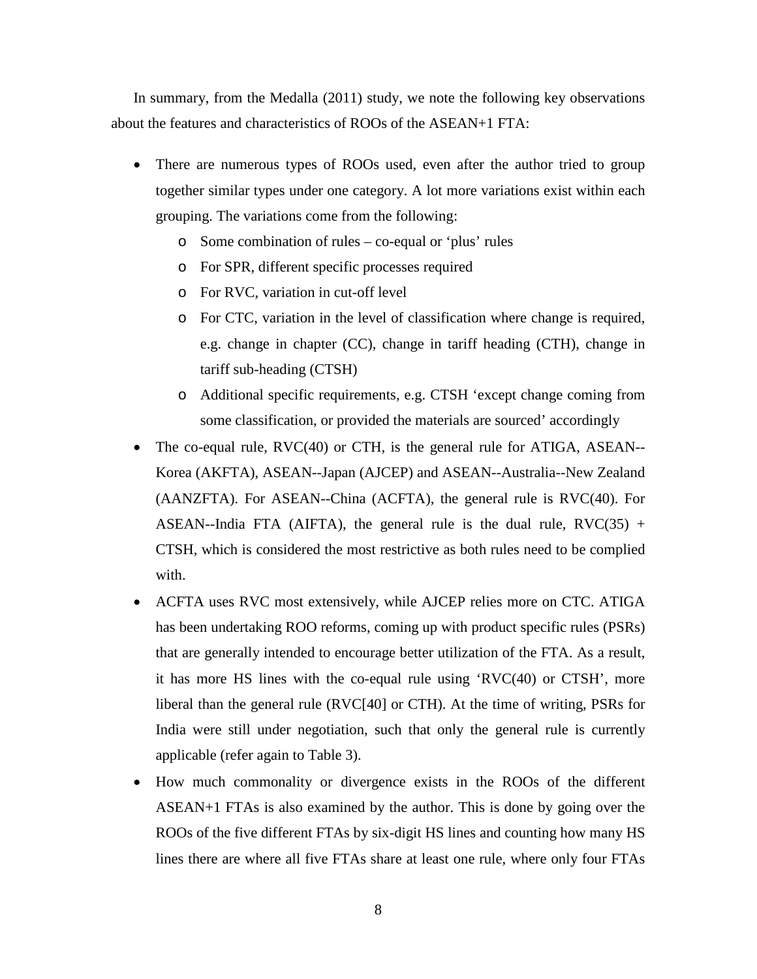In summary, from the Medalla (2011) study, we note the following key observations about the features and characteristics of ROOs of the ASEAN+1 FTA:

- There are numerous types of ROOs used, even after the author tried to group together similar types under one category. A lot more variations exist within each grouping. The variations come from the following:
	- o Some combination of rules co-equal or 'plus' rules
	- o For SPR, different specific processes required
	- o For RVC, variation in cut-off level
	- o For CTC, variation in the level of classification where change is required, e.g. change in chapter (CC), change in tariff heading (CTH), change in tariff sub-heading (CTSH)
	- o Additional specific requirements, e.g. CTSH 'except change coming from some classification, or provided the materials are sourced' accordingly
- The co-equal rule, RVC(40) or CTH, is the general rule for ATIGA, ASEAN-- Korea (AKFTA), ASEAN--Japan (AJCEP) and ASEAN--Australia--New Zealand (AANZFTA). For ASEAN--China (ACFTA), the general rule is RVC(40). For ASEAN--India FTA (AIFTA), the general rule is the dual rule,  $RVC(35)$  + CTSH, which is considered the most restrictive as both rules need to be complied with.
- ACFTA uses RVC most extensively, while AJCEP relies more on CTC. ATIGA has been undertaking ROO reforms, coming up with product specific rules (PSRs) that are generally intended to encourage better utilization of the FTA. As a result, it has more HS lines with the co-equal rule using 'RVC(40) or CTSH', more liberal than the general rule (RVC[40] or CTH). At the time of writing, PSRs for India were still under negotiation, such that only the general rule is currently applicable (refer again to Table 3).
- How much commonality or divergence exists in the ROOs of the different ASEAN+1 FTAs is also examined by the author. This is done by going over the ROOs of the five different FTAs by six-digit HS lines and counting how many HS lines there are where all five FTAs share at least one rule, where only four FTAs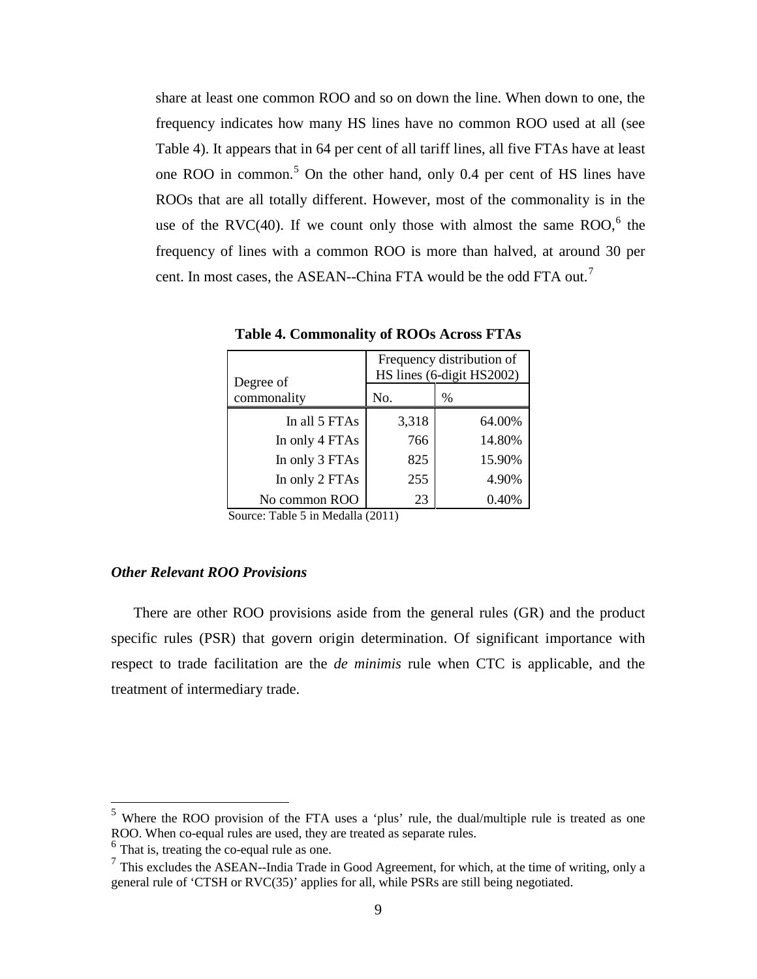share at least one common ROO and so on down the line. When down to one, the frequency indicates how many HS lines have no common ROO used at all (see Table 4). It appears that in 64 per cent of all tariff lines, all five FTAs have at least one ROO in common.<sup>[5](#page-9-0)</sup> On the other hand, only 0.4 per cent of HS lines have ROOs that are all totally different. However, most of the commonality is in the use of the RVC(40). If we count only those with almost the same  $ROO<sub>1</sub><sup>6</sup>$  $ROO<sub>1</sub><sup>6</sup>$  $ROO<sub>1</sub><sup>6</sup>$  the frequency of lines with a common ROO is more than halved, at around 30 per cent. In most cases, the ASEAN--China FTA would be the odd FTA out.<sup>[7](#page-9-0)</sup>

| Degree of      |       | Frequency distribution of<br>HS lines (6-digit HS2002) |
|----------------|-------|--------------------------------------------------------|
| commonality    | No.   | $\%$                                                   |
| In all 5 FTAs  | 3,318 | 64.00%                                                 |
| In only 4 FTAs | 766   | 14.80%                                                 |
| In only 3 FTAs | 825   | 15.90%                                                 |
| In only 2 FTAs | 255   | 4.90%                                                  |
| No common ROO  | 23    | 0.40%                                                  |

**Table 4. Commonality of ROOs Across FTAs**

Source: Table 5 in Medalla (2011)

#### *Other Relevant ROO Provisions*

There are other ROO provisions aside from the general rules (GR) and the product specific rules (PSR) that govern origin determination. Of significant importance with respect to trade facilitation are the *de minimis* rule when CTC is applicable, and the treatment of intermediary trade.

<span id="page-9-0"></span><sup>5</sup> Where the ROO provision of the FTA uses a 'plus' rule, the dual/multiple rule is treated as one ROO. When co-equal rules are used, they are treated as separate rules.

 $<sup>6</sup>$  That is, treating the co-equal rule as one.</sup>

 $<sup>7</sup>$  This excludes the ASEAN--India Trade in Good Agreement, for which, at the time of writing, only a</sup> general rule of 'CTSH or RVC(35)' applies for all, while PSRs are still being negotiated.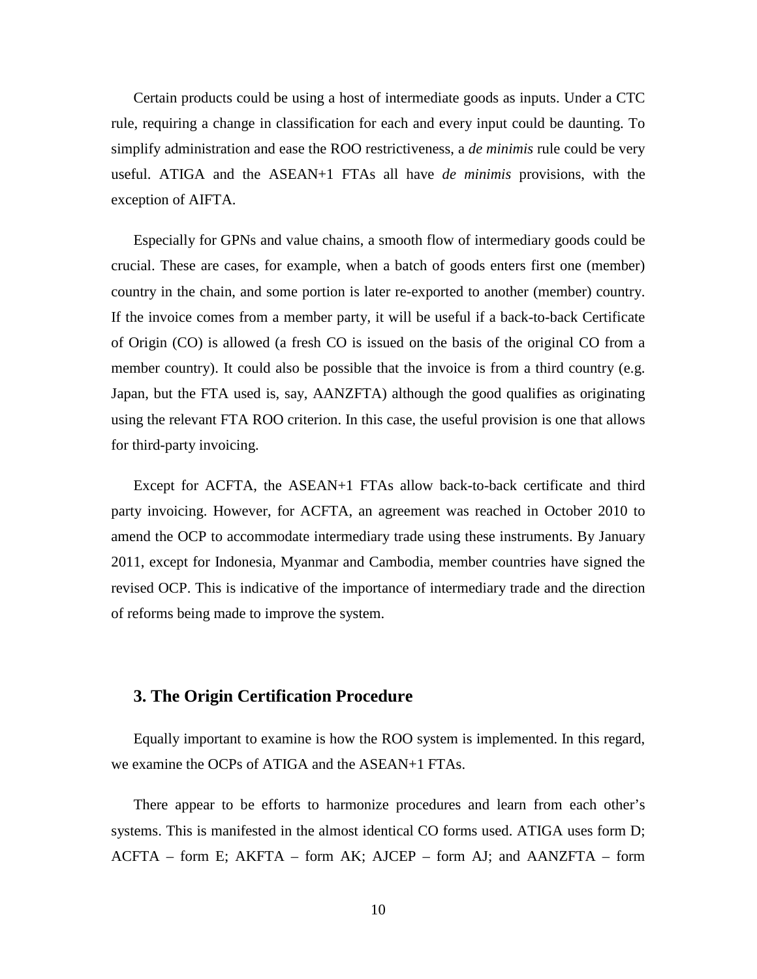Certain products could be using a host of intermediate goods as inputs. Under a CTC rule, requiring a change in classification for each and every input could be daunting. To simplify administration and ease the ROO restrictiveness, a *de minimis* rule could be very useful. ATIGA and the ASEAN+1 FTAs all have *de minimis* provisions, with the exception of AIFTA.

Especially for GPNs and value chains, a smooth flow of intermediary goods could be crucial. These are cases, for example, when a batch of goods enters first one (member) country in the chain, and some portion is later re-exported to another (member) country. If the invoice comes from a member party, it will be useful if a back-to-back Certificate of Origin (CO) is allowed (a fresh CO is issued on the basis of the original CO from a member country). It could also be possible that the invoice is from a third country (e.g. Japan, but the FTA used is, say, AANZFTA) although the good qualifies as originating using the relevant FTA ROO criterion. In this case, the useful provision is one that allows for third-party invoicing.

Except for ACFTA, the ASEAN+1 FTAs allow back-to-back certificate and third party invoicing. However, for ACFTA, an agreement was reached in October 2010 to amend the OCP to accommodate intermediary trade using these instruments. By January 2011, except for Indonesia, Myanmar and Cambodia, member countries have signed the revised OCP. This is indicative of the importance of intermediary trade and the direction of reforms being made to improve the system.

#### **3. The Origin Certification Procedure**

Equally important to examine is how the ROO system is implemented. In this regard, we examine the OCPs of ATIGA and the ASEAN+1 FTAs.

There appear to be efforts to harmonize procedures and learn from each other's systems. This is manifested in the almost identical CO forms used. ATIGA uses form D; ACFTA – form E; AKFTA – form AK; AJCEP – form AJ; and AANZFTA – form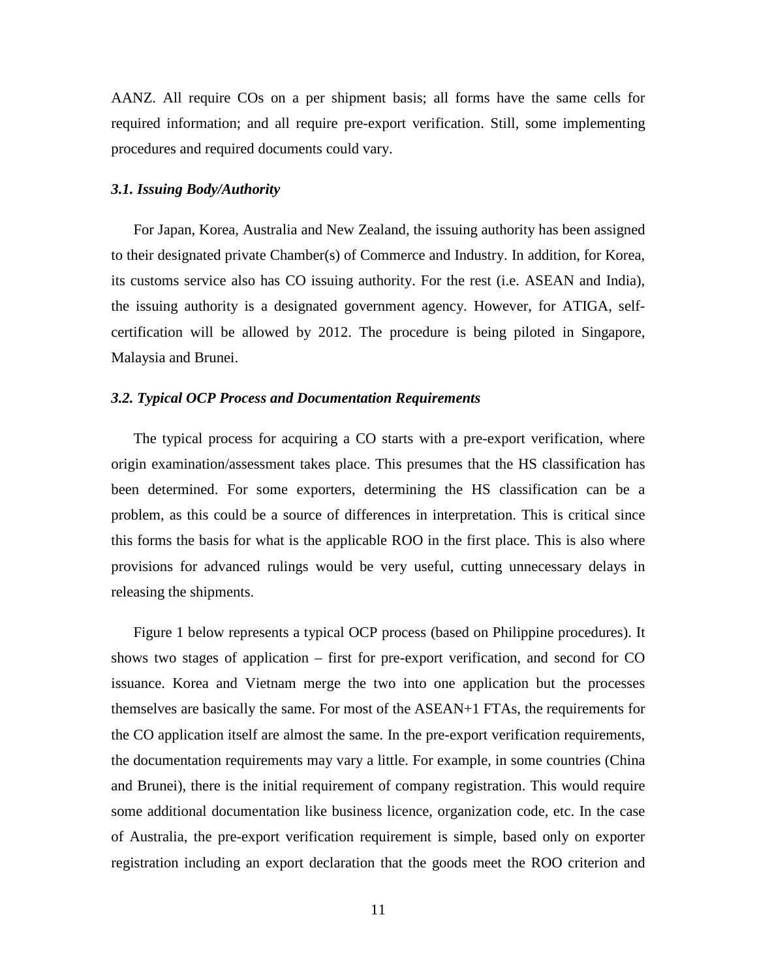AANZ. All require COs on a per shipment basis; all forms have the same cells for required information; and all require pre-export verification. Still, some implementing procedures and required documents could vary.

#### *3.1. Issuing Body/Authority*

For Japan, Korea, Australia and New Zealand, the issuing authority has been assigned to their designated private Chamber(s) of Commerce and Industry. In addition, for Korea, its customs service also has CO issuing authority. For the rest (i.e. ASEAN and India), the issuing authority is a designated government agency. However, for ATIGA, selfcertification will be allowed by 2012. The procedure is being piloted in Singapore, Malaysia and Brunei.

#### *3.2. Typical OCP Process and Documentation Requirements*

The typical process for acquiring a CO starts with a pre-export verification, where origin examination/assessment takes place. This presumes that the HS classification has been determined. For some exporters, determining the HS classification can be a problem, as this could be a source of differences in interpretation. This is critical since this forms the basis for what is the applicable ROO in the first place. This is also where provisions for advanced rulings would be very useful, cutting unnecessary delays in releasing the shipments.

Figure 1 below represents a typical OCP process (based on Philippine procedures). It shows two stages of application – first for pre-export verification, and second for CO issuance. Korea and Vietnam merge the two into one application but the processes themselves are basically the same. For most of the ASEAN+1 FTAs, the requirements for the CO application itself are almost the same. In the pre-export verification requirements, the documentation requirements may vary a little. For example, in some countries (China and Brunei), there is the initial requirement of company registration. This would require some additional documentation like business licence, organization code, etc. In the case of Australia, the pre-export verification requirement is simple, based only on exporter registration including an export declaration that the goods meet the ROO criterion and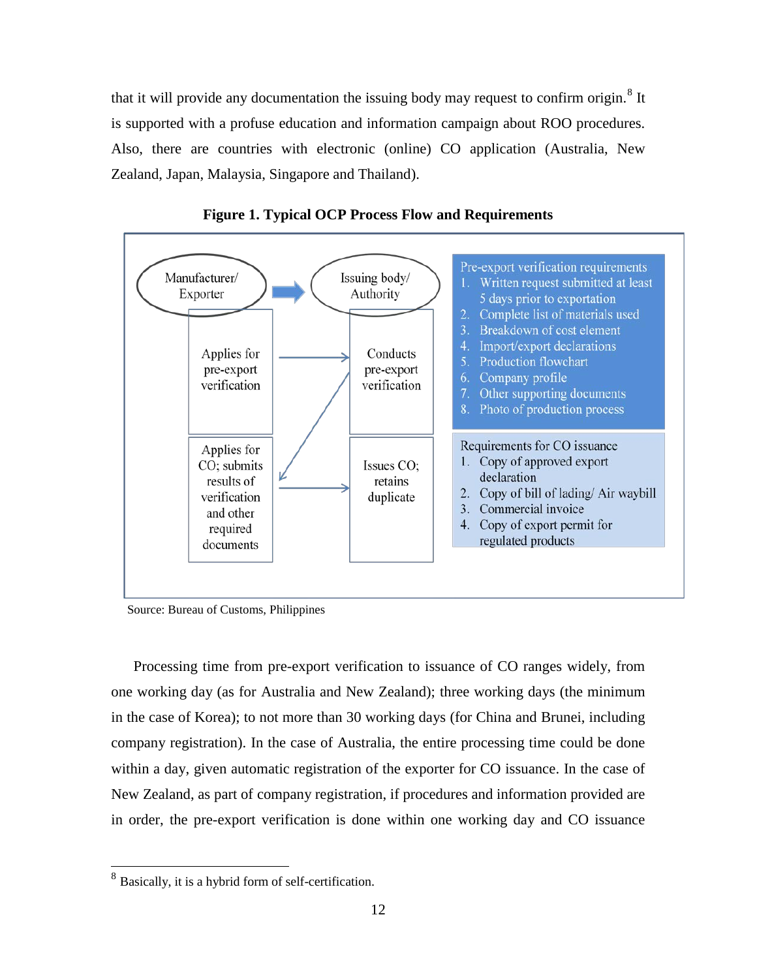that it will provide any documentation the issuing body may request to confirm origin.<sup>[8](#page-12-0)</sup> It is supported with a profuse education and information campaign about ROO procedures. Also, there are countries with electronic (online) CO application (Australia, New Zealand, Japan, Malaysia, Singapore and Thailand).





Source: Bureau of Customs, Philippines

Processing time from pre-export verification to issuance of CO ranges widely, from one working day (as for Australia and New Zealand); three working days (the minimum in the case of Korea); to not more than 30 working days (for China and Brunei, including company registration). In the case of Australia, the entire processing time could be done within a day, given automatic registration of the exporter for CO issuance. In the case of New Zealand, as part of company registration, if procedures and information provided are in order, the pre-export verification is done within one working day and CO issuance

<span id="page-12-0"></span><sup>8</sup> Basically, it is a hybrid form of self-certification.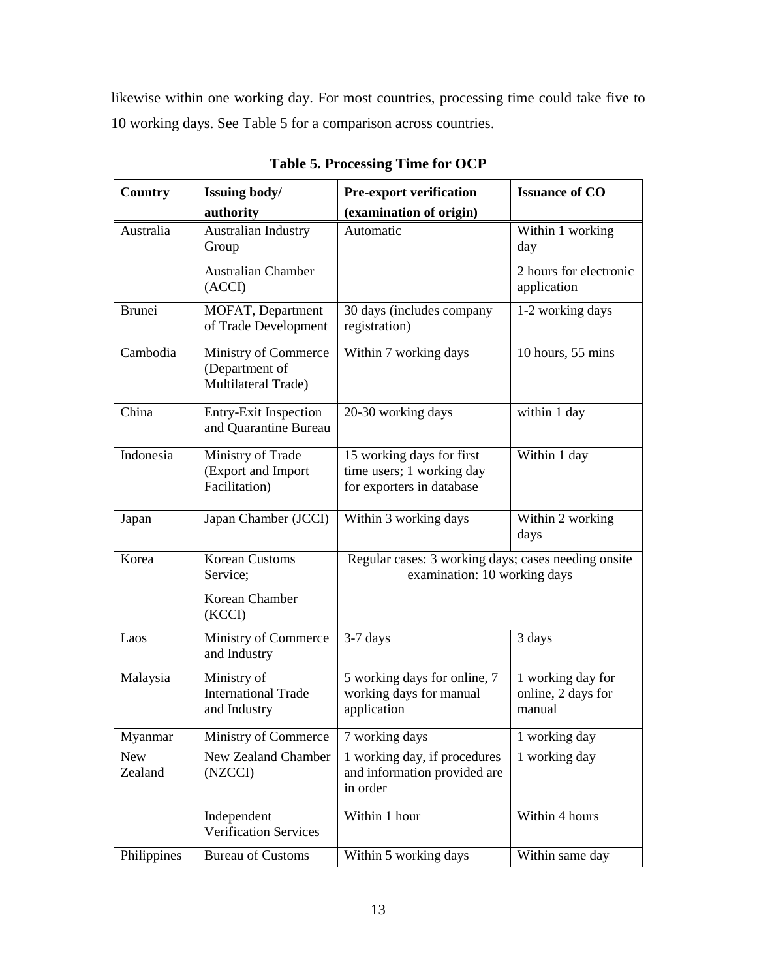likewise within one working day. For most countries, processing time could take five to 10 working days. See Table 5 for a comparison across countries.

| Country               | Issuing body/                                                 | <b>Pre-export verification</b>                                                      | <b>Issuance of CO</b>                             |
|-----------------------|---------------------------------------------------------------|-------------------------------------------------------------------------------------|---------------------------------------------------|
|                       | authority                                                     | (examination of origin)                                                             |                                                   |
| Australia             | Australian Industry<br>Group                                  | Automatic                                                                           | Within 1 working<br>day                           |
|                       | <b>Australian Chamber</b><br>(ACCI)                           |                                                                                     | 2 hours for electronic<br>application             |
| <b>Brunei</b>         | MOFAT, Department<br>of Trade Development                     | 30 days (includes company<br>registration)                                          | 1-2 working days                                  |
| Cambodia              | Ministry of Commerce<br>(Department of<br>Multilateral Trade) | Within 7 working days                                                               | 10 hours, 55 mins                                 |
| China                 | <b>Entry-Exit Inspection</b><br>and Quarantine Bureau         | 20-30 working days                                                                  | within 1 day                                      |
| Indonesia             | Ministry of Trade<br>(Export and Import<br>Facilitation)      | 15 working days for first<br>time users; 1 working day<br>for exporters in database | Within 1 day                                      |
| Japan                 | Japan Chamber (JCCI)                                          | Within 3 working days                                                               | Within 2 working<br>days                          |
| Korea                 | <b>Korean Customs</b><br>Service;                             | Regular cases: 3 working days; cases needing onsite<br>examination: 10 working days |                                                   |
|                       | Korean Chamber<br>(KCCI)                                      |                                                                                     |                                                   |
| Laos                  | Ministry of Commerce<br>and Industry                          | $3-7$ days                                                                          | 3 days                                            |
| Malaysia              | Ministry of<br><b>International Trade</b><br>and Industry     | 5 working days for online, 7<br>working days for manual<br>application              | 1 working day for<br>online, 2 days for<br>manual |
| Myanmar               | Ministry of Commerce                                          | 7 working days                                                                      | 1 working day                                     |
| <b>New</b><br>Zealand | New Zealand Chamber<br>(NZCCI)                                | 1 working day, if procedures<br>and information provided are<br>in order            | 1 working day                                     |
|                       | Independent<br><b>Verification Services</b>                   | Within 1 hour                                                                       | Within 4 hours                                    |
| Philippines           | <b>Bureau of Customs</b>                                      | Within 5 working days                                                               | Within same day                                   |

**Table 5. Processing Time for OCP**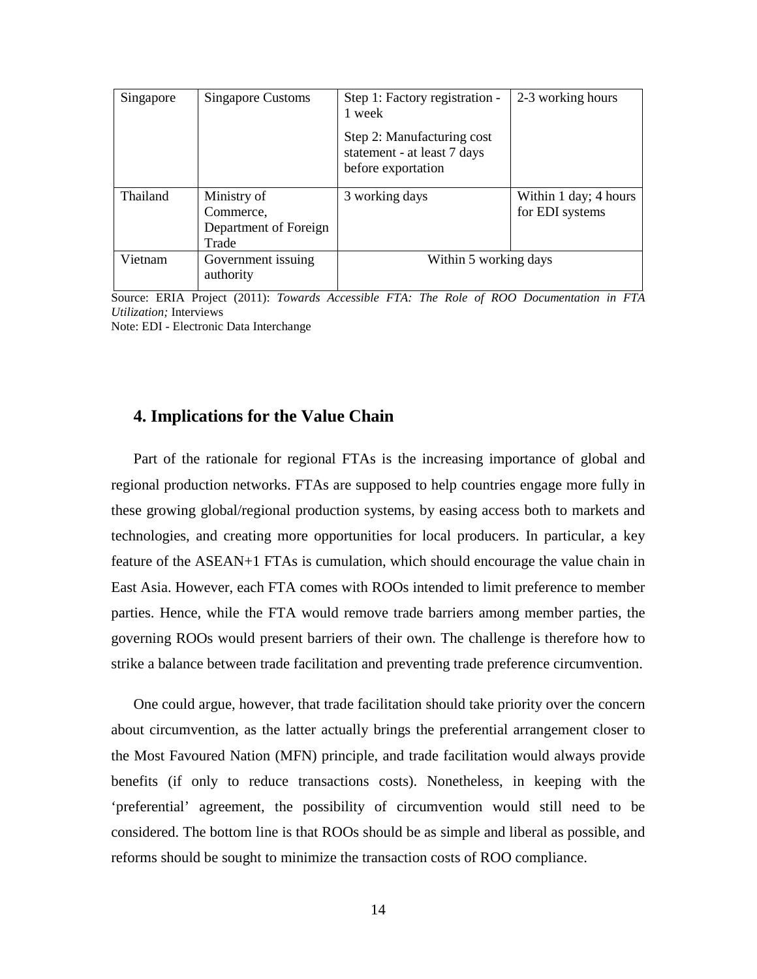| Singapore | Singapore Customs                                          | Step 1: Factory registration -<br>1 week                                        | 2-3 working hours                        |
|-----------|------------------------------------------------------------|---------------------------------------------------------------------------------|------------------------------------------|
|           |                                                            | Step 2: Manufacturing cost<br>statement - at least 7 days<br>before exportation |                                          |
| Thailand  | Ministry of<br>Commerce,<br>Department of Foreign<br>Trade | 3 working days                                                                  | Within 1 day; 4 hours<br>for EDI systems |
| Vietnam   | Government issuing<br>authority                            | Within 5 working days                                                           |                                          |

Source: ERIA Project (2011): *Towards Accessible FTA: The Role of ROO Documentation in FTA Utilization;* Interviews

Note: EDI - Electronic Data Interchange

#### **4. Implications for the Value Chain**

Part of the rationale for regional FTAs is the increasing importance of global and regional production networks. FTAs are supposed to help countries engage more fully in these growing global/regional production systems, by easing access both to markets and technologies, and creating more opportunities for local producers. In particular, a key feature of the ASEAN+1 FTAs is cumulation, which should encourage the value chain in East Asia. However, each FTA comes with ROOs intended to limit preference to member parties. Hence, while the FTA would remove trade barriers among member parties, the governing ROOs would present barriers of their own. The challenge is therefore how to strike a balance between trade facilitation and preventing trade preference circumvention.

One could argue, however, that trade facilitation should take priority over the concern about circumvention, as the latter actually brings the preferential arrangement closer to the Most Favoured Nation (MFN) principle, and trade facilitation would always provide benefits (if only to reduce transactions costs). Nonetheless, in keeping with the 'preferential' agreement, the possibility of circumvention would still need to be considered. The bottom line is that ROOs should be as simple and liberal as possible, and reforms should be sought to minimize the transaction costs of ROO compliance.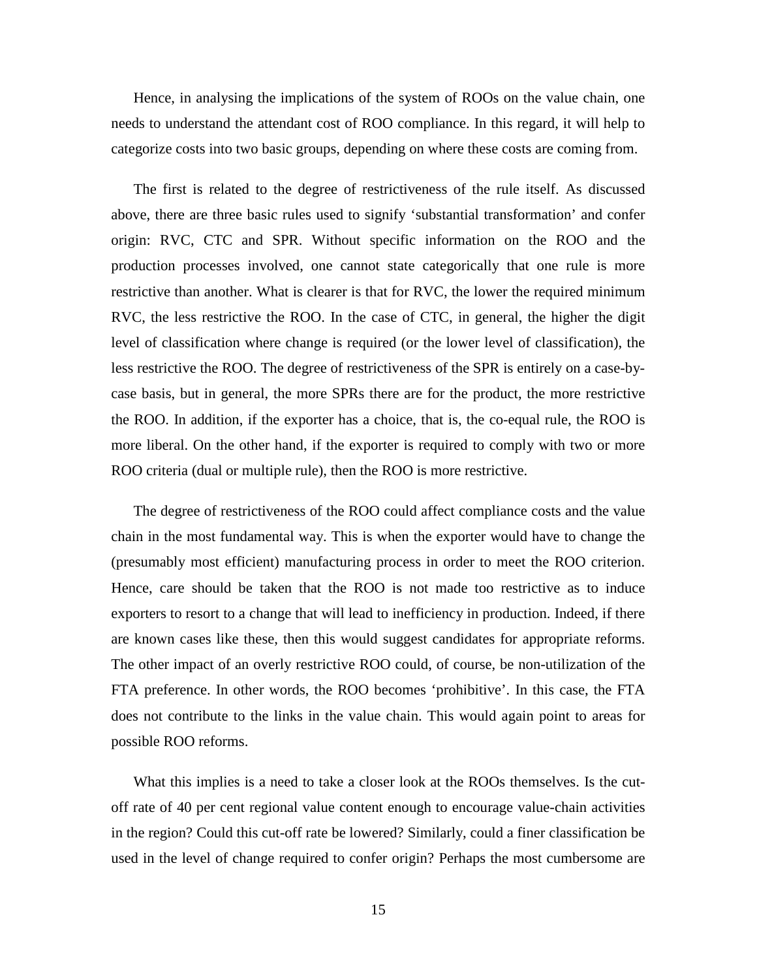Hence, in analysing the implications of the system of ROOs on the value chain, one needs to understand the attendant cost of ROO compliance. In this regard, it will help to categorize costs into two basic groups, depending on where these costs are coming from.

The first is related to the degree of restrictiveness of the rule itself. As discussed above, there are three basic rules used to signify 'substantial transformation' and confer origin: RVC, CTC and SPR. Without specific information on the ROO and the production processes involved, one cannot state categorically that one rule is more restrictive than another. What is clearer is that for RVC, the lower the required minimum RVC, the less restrictive the ROO. In the case of CTC, in general, the higher the digit level of classification where change is required (or the lower level of classification), the less restrictive the ROO. The degree of restrictiveness of the SPR is entirely on a case-bycase basis, but in general, the more SPRs there are for the product, the more restrictive the ROO. In addition, if the exporter has a choice, that is, the co-equal rule, the ROO is more liberal. On the other hand, if the exporter is required to comply with two or more ROO criteria (dual or multiple rule), then the ROO is more restrictive.

The degree of restrictiveness of the ROO could affect compliance costs and the value chain in the most fundamental way. This is when the exporter would have to change the (presumably most efficient) manufacturing process in order to meet the ROO criterion. Hence, care should be taken that the ROO is not made too restrictive as to induce exporters to resort to a change that will lead to inefficiency in production. Indeed, if there are known cases like these, then this would suggest candidates for appropriate reforms. The other impact of an overly restrictive ROO could, of course, be non-utilization of the FTA preference. In other words, the ROO becomes 'prohibitive'. In this case, the FTA does not contribute to the links in the value chain. This would again point to areas for possible ROO reforms.

What this implies is a need to take a closer look at the ROOs themselves. Is the cutoff rate of 40 per cent regional value content enough to encourage value-chain activities in the region? Could this cut-off rate be lowered? Similarly, could a finer classification be used in the level of change required to confer origin? Perhaps the most cumbersome are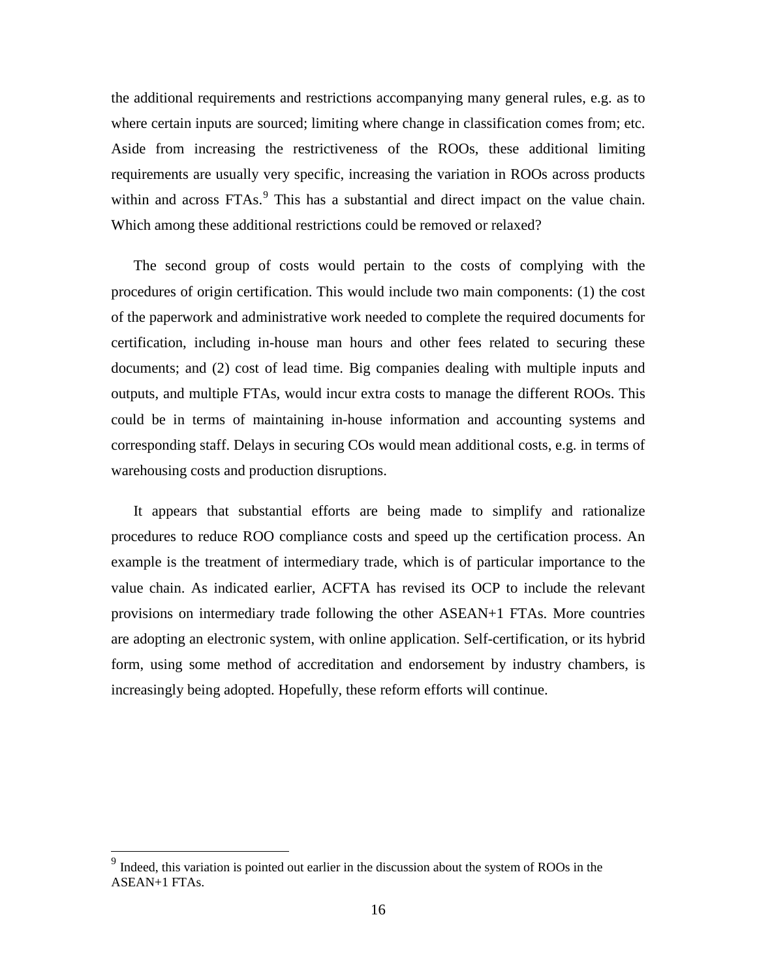the additional requirements and restrictions accompanying many general rules, e.g. as to where certain inputs are sourced; limiting where change in classification comes from; etc. Aside from increasing the restrictiveness of the ROOs, these additional limiting requirements are usually very specific, increasing the variation in ROOs across products within and across FTAs.<sup>[9](#page-16-0)</sup> This has a substantial and direct impact on the value chain. Which among these additional restrictions could be removed or relaxed?

The second group of costs would pertain to the costs of complying with the procedures of origin certification. This would include two main components: (1) the cost of the paperwork and administrative work needed to complete the required documents for certification, including in-house man hours and other fees related to securing these documents; and (2) cost of lead time. Big companies dealing with multiple inputs and outputs, and multiple FTAs, would incur extra costs to manage the different ROOs. This could be in terms of maintaining in-house information and accounting systems and corresponding staff. Delays in securing COs would mean additional costs, e.g. in terms of warehousing costs and production disruptions.

It appears that substantial efforts are being made to simplify and rationalize procedures to reduce ROO compliance costs and speed up the certification process. An example is the treatment of intermediary trade, which is of particular importance to the value chain. As indicated earlier, ACFTA has revised its OCP to include the relevant provisions on intermediary trade following the other ASEAN+1 FTAs. More countries are adopting an electronic system, with online application. Self-certification, or its hybrid form, using some method of accreditation and endorsement by industry chambers, is increasingly being adopted. Hopefully, these reform efforts will continue.

<span id="page-16-0"></span><sup>&</sup>lt;sup>9</sup> Indeed, this variation is pointed out earlier in the discussion about the system of ROOs in the ASEAN+1 FTAs.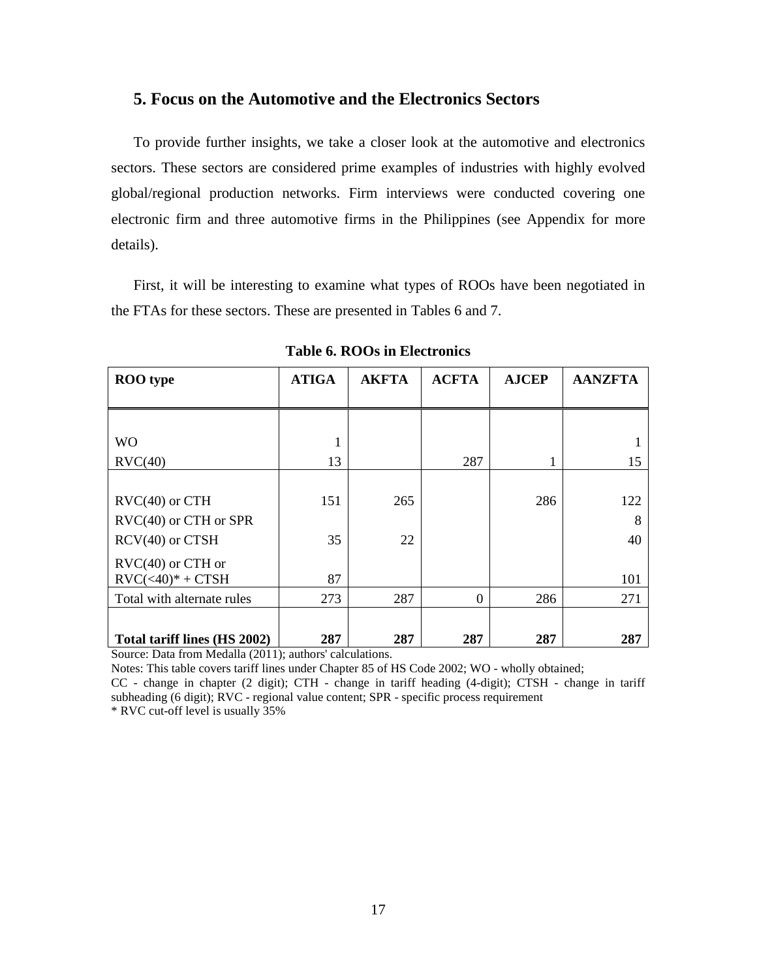#### **5. Focus on the Automotive and the Electronics Sectors**

To provide further insights, we take a closer look at the automotive and electronics sectors. These sectors are considered prime examples of industries with highly evolved global/regional production networks. Firm interviews were conducted covering one electronic firm and three automotive firms in the Philippines (see Appendix for more details).

First, it will be interesting to examine what types of ROOs have been negotiated in the FTAs for these sectors. These are presented in Tables 6 and 7.

| <b>ROO</b> type                                  | <b>ATIGA</b> | <b>AKFTA</b> | <b>ACFTA</b> | <b>AJCEP</b> | <b>AANZFTA</b> |
|--------------------------------------------------|--------------|--------------|--------------|--------------|----------------|
|                                                  |              |              |              |              |                |
|                                                  |              |              |              |              |                |
| <b>WO</b>                                        | 1            |              |              |              |                |
| $\text{RVC}(40)$                                 | 13           |              | 287          |              | 15             |
|                                                  |              |              |              |              |                |
| $\text{RVC}(40)$ or $\text{CTH}$                 | 151          | 265          |              | 286          | 122            |
| $\text{RVC}(40)$ or $\text{CTH}$ or $\text{SPR}$ |              |              |              |              | 8              |
| $RCV(40)$ or $CTSH$                              | 35           | 22           |              |              | 40             |
| $\text{RVC}(40)$ or CTH or                       |              |              |              |              |                |
| $\text{RVC}(\leq 40)^* + \text{CTSH}$            | 87           |              |              |              | 101            |
| Total with alternate rules                       | 273          | 287          | $\Omega$     | 286          | 271            |
|                                                  |              |              |              |              |                |
| Total tariff lines (HS 2002)                     | 287          | 287          | 287          | 287          | 287            |

**Table 6. ROOs in Electronics**

Source: Data from Medalla (2011); authors' calculations.

Notes: This table covers tariff lines under Chapter 85 of HS Code 2002; WO - wholly obtained;

CC - change in chapter (2 digit); CTH - change in tariff heading (4-digit); CTSH - change in tariff subheading (6 digit); RVC - regional value content; SPR - specific process requirement

\* RVC cut-off level is usually 35%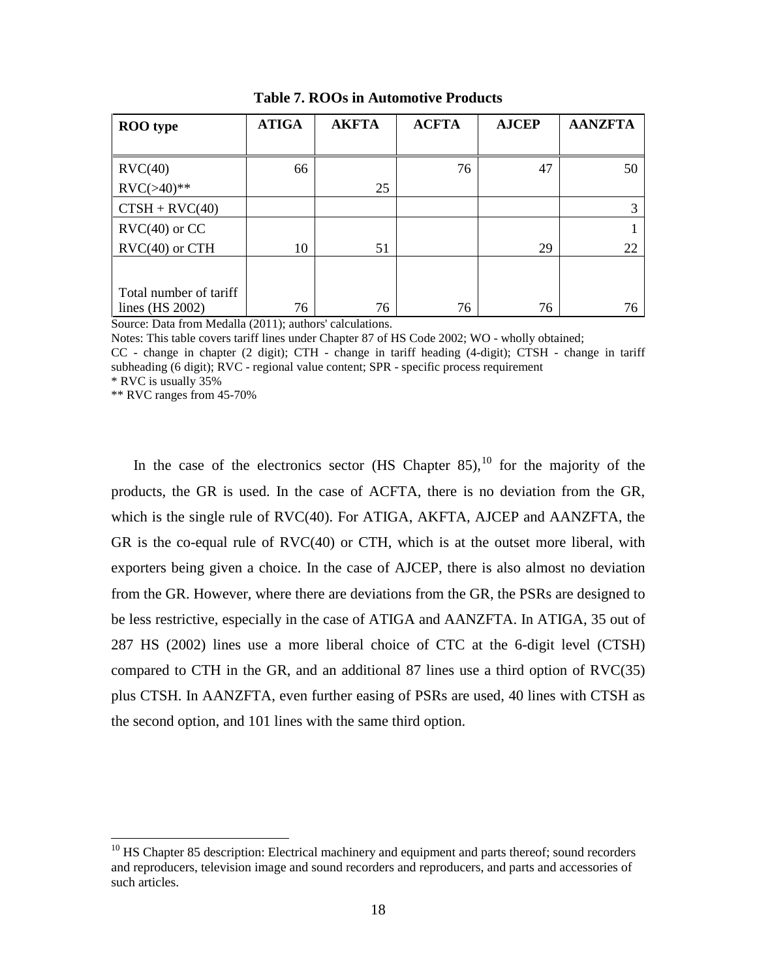| <b>ROO</b> type                  | <b>ATIGA</b> | <b>AKFTA</b> | <b>ACFTA</b> | <b>AJCEP</b> | <b>AANZFTA</b> |
|----------------------------------|--------------|--------------|--------------|--------------|----------------|
|                                  |              |              |              |              |                |
| $\text{RVC}(40)$                 | 66           |              | 76           | 47           | 50             |
| $\text{RVC}(>40)**$              |              | 25           |              |              |                |
| $CTSH + RVC(40)$                 |              |              |              |              | 3              |
| $\text{RVC}(40)$ or CC           |              |              |              |              |                |
| $\text{RVC}(40)$ or $\text{CTH}$ | 10           | 51           |              | 29           | 22             |
|                                  |              |              |              |              |                |
| Total number of tariff           |              |              |              |              |                |
| lines $(HS 2002)$                | 76           | 76           | 76           | 76           | 76             |

**Table 7. ROOs in Automotive Products**

Source: Data from Medalla (2011); authors' calculations.

Notes: This table covers tariff lines under Chapter 87 of HS Code 2002; WO - wholly obtained;

CC - change in chapter (2 digit); CTH - change in tariff heading (4-digit); CTSH - change in tariff subheading (6 digit); RVC - regional value content; SPR - specific process requirement

\* RVC is usually 35%

\*\* RVC ranges from 45-70%

In the case of the electronics sector (HS Chapter 85),  $^{10}$  $^{10}$  $^{10}$  for the majority of the products, the GR is used. In the case of ACFTA, there is no deviation from the GR, which is the single rule of RVC(40). For ATIGA, AKFTA, AJCEP and AANZFTA, the GR is the co-equal rule of RVC(40) or CTH, which is at the outset more liberal, with exporters being given a choice. In the case of AJCEP, there is also almost no deviation from the GR. However, where there are deviations from the GR, the PSRs are designed to be less restrictive, especially in the case of ATIGA and AANZFTA. In ATIGA, 35 out of 287 HS (2002) lines use a more liberal choice of CTC at the 6-digit level (CTSH) compared to CTH in the GR, and an additional 87 lines use a third option of RVC(35) plus CTSH. In AANZFTA, even further easing of PSRs are used, 40 lines with CTSH as the second option, and 101 lines with the same third option.

<span id="page-18-0"></span> $10$  HS Chapter 85 description: Electrical machinery and equipment and parts thereof; sound recorders and reproducers, television image and sound recorders and reproducers, and parts and accessories of such articles.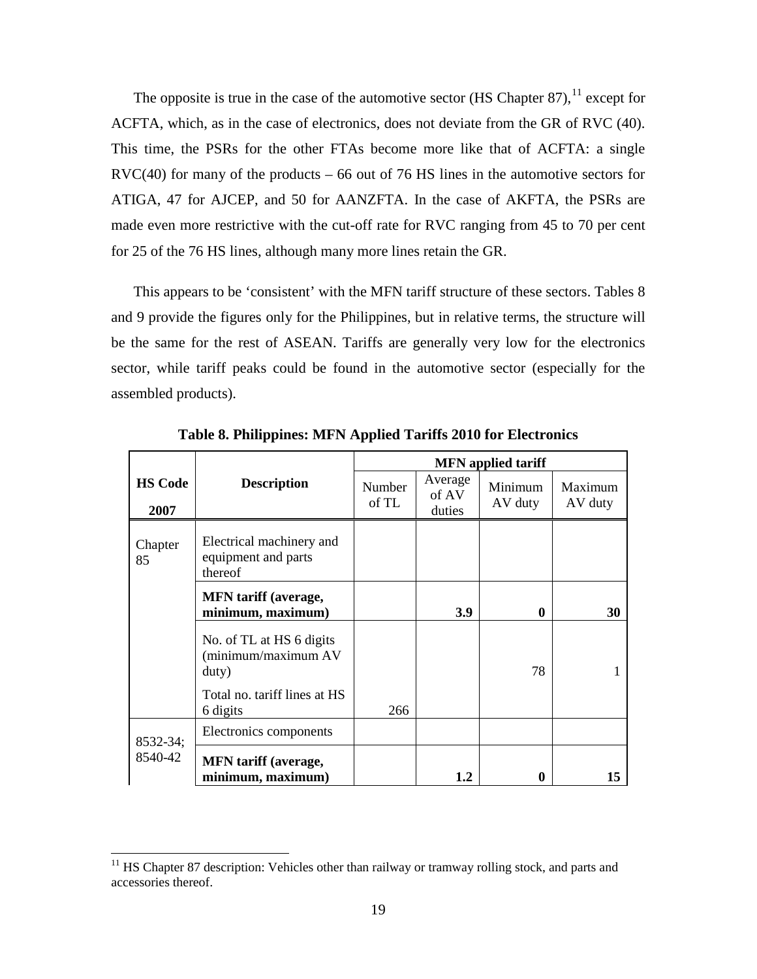The opposite is true in the case of the automotive sector (HS Chapter 87),  $^{11}$  $^{11}$  $^{11}$  except for ACFTA, which, as in the case of electronics, does not deviate from the GR of RVC (40). This time, the PSRs for the other FTAs become more like that of ACFTA: a single  $RVC(40)$  for many of the products – 66 out of 76 HS lines in the automotive sectors for ATIGA, 47 for AJCEP, and 50 for AANZFTA. In the case of AKFTA, the PSRs are made even more restrictive with the cut-off rate for RVC ranging from 45 to 70 per cent for 25 of the 76 HS lines, although many more lines retain the GR.

This appears to be 'consistent' with the MFN tariff structure of these sectors. Tables 8 and 9 provide the figures only for the Philippines, but in relative terms, the structure will be the same for the rest of ASEAN. Tariffs are generally very low for the electronics sector, while tariff peaks could be found in the automotive sector (especially for the assembled products).

|                        |                                                                                          |                 |                            | <b>MFN</b> applied tariff |                    |
|------------------------|------------------------------------------------------------------------------------------|-----------------|----------------------------|---------------------------|--------------------|
| <b>HS Code</b><br>2007 | <b>Description</b>                                                                       | Number<br>of TL | Average<br>of AV<br>duties | Minimum<br>AV duty        | Maximum<br>AV duty |
| Chapter<br>85          | Electrical machinery and<br>equipment and parts<br>thereof                               |                 |                            |                           |                    |
|                        | <b>MFN</b> tariff (average,<br>minimum, maximum)                                         |                 | 3.9                        | $\mathbf 0$               | 30                 |
|                        | No. of TL at HS 6 digits<br>(minimum/maximum AV<br>duty)<br>Total no. tariff lines at HS |                 |                            | 78                        |                    |
|                        | 6 digits                                                                                 | 266             |                            |                           |                    |
| 8532-34;               | Electronics components                                                                   |                 |                            |                           |                    |
| 8540-42                | <b>MFN</b> tariff (average,<br>minimum, maximum)                                         |                 | 1.2                        | 0                         | 15                 |

**Table 8. Philippines: MFN Applied Tariffs 2010 for Electronics**

<span id="page-19-0"></span> $11$  HS Chapter 87 description: Vehicles other than railway or tramway rolling stock, and parts and accessories thereof.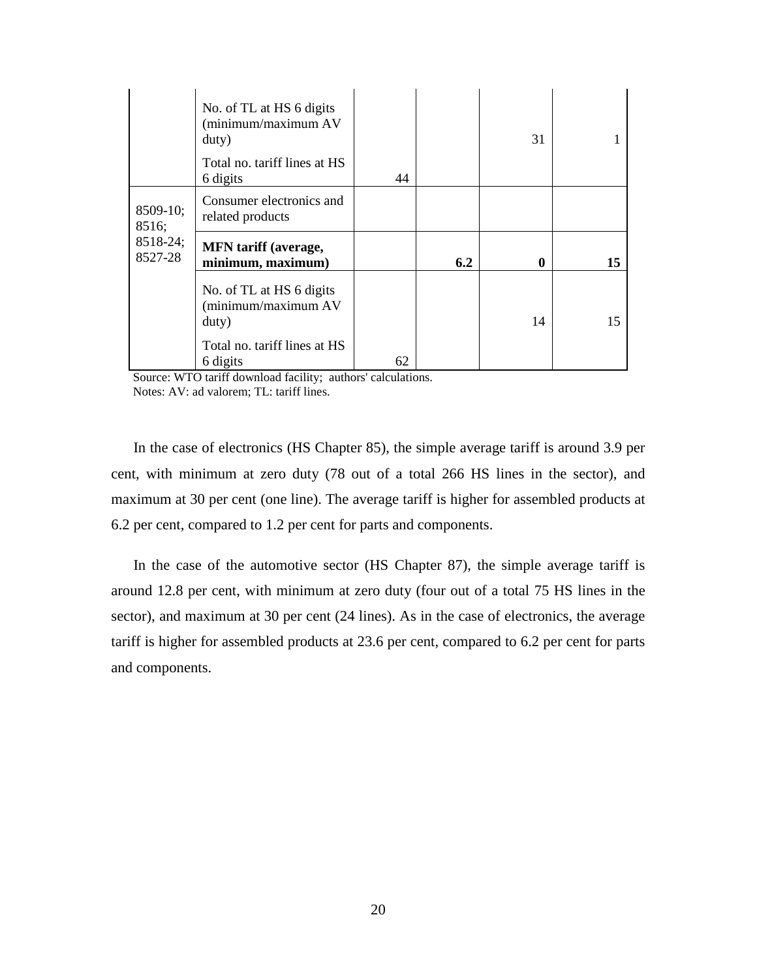|                     | No. of TL at HS 6 digits<br>(minimum/maximum AV<br>duty)<br>Total no. tariff lines at HS<br>6 digits | 44 |     | 31 |    |
|---------------------|------------------------------------------------------------------------------------------------------|----|-----|----|----|
| 8509-10;<br>8516;   | Consumer electronics and<br>related products                                                         |    |     |    |    |
| 8518-24;<br>8527-28 | <b>MFN</b> tariff (average,<br>minimum, maximum)                                                     |    | 6.2 | 0  | 15 |
|                     | No. of TL at HS 6 digits<br>(minimum/maximum AV<br>duty)                                             |    |     | 14 | 15 |
|                     | Total no. tariff lines at HS<br>6 digits                                                             | 62 |     |    |    |

 Source: WTO tariff download facility; authors' calculations. Notes: AV: ad valorem; TL: tariff lines.

In the case of electronics (HS Chapter 85), the simple average tariff is around 3.9 per cent, with minimum at zero duty (78 out of a total 266 HS lines in the sector), and maximum at 30 per cent (one line). The average tariff is higher for assembled products at 6.2 per cent, compared to 1.2 per cent for parts and components.

In the case of the automotive sector (HS Chapter 87), the simple average tariff is around 12.8 per cent, with minimum at zero duty (four out of a total 75 HS lines in the sector), and maximum at 30 per cent (24 lines). As in the case of electronics, the average tariff is higher for assembled products at 23.6 per cent, compared to 6.2 per cent for parts and components.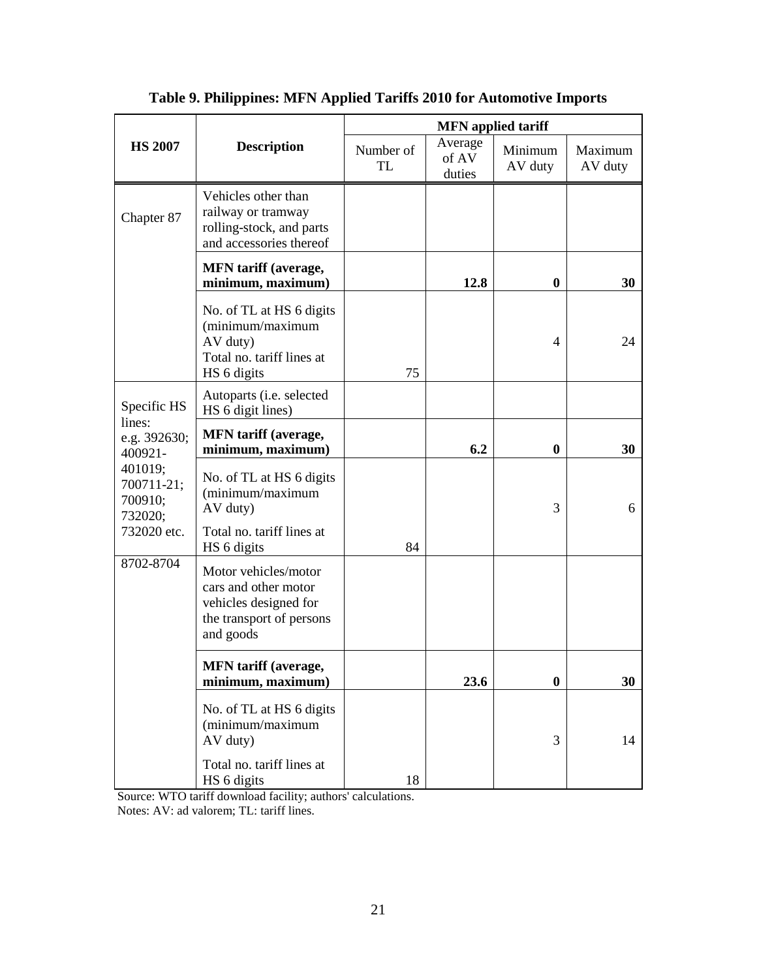|                                                                                                 |                                                                                                                | <b>MFN</b> applied tariff |                            |                    |                    |  |
|-------------------------------------------------------------------------------------------------|----------------------------------------------------------------------------------------------------------------|---------------------------|----------------------------|--------------------|--------------------|--|
| <b>HS 2007</b>                                                                                  | <b>Description</b>                                                                                             | Number of<br>TL           | Average<br>of AV<br>duties | Minimum<br>AV duty | Maximum<br>AV duty |  |
| Chapter 87                                                                                      | Vehicles other than<br>railway or tramway<br>rolling-stock, and parts<br>and accessories thereof               |                           |                            |                    |                    |  |
|                                                                                                 | <b>MFN</b> tariff (average,<br>minimum, maximum)                                                               |                           | 12.8                       | $\boldsymbol{0}$   | 30                 |  |
|                                                                                                 | No. of TL at HS 6 digits<br>(minimum/maximum<br>AV duty)<br>Total no. tariff lines at<br>HS 6 digits           | 75                        |                            | 4                  | 24                 |  |
| Specific HS                                                                                     | Autoparts (i.e. selected<br>HS 6 digit lines)                                                                  |                           |                            |                    |                    |  |
| lines:<br>e.g. 392630;<br>400921-<br>401019;<br>700711-21;<br>700910;<br>732020;<br>732020 etc. | <b>MFN</b> tariff (average,<br>minimum, maximum)                                                               |                           | 6.2                        | 0                  | 30                 |  |
|                                                                                                 | No. of TL at HS 6 digits<br>(minimum/maximum<br>AV duty)<br>Total no. tariff lines at                          |                           |                            | 3                  | 6                  |  |
|                                                                                                 | HS 6 digits                                                                                                    | 84                        |                            |                    |                    |  |
| 8702-8704                                                                                       | Motor vehicles/motor<br>cars and other motor<br>vehicles designed for<br>the transport of persons<br>and goods |                           |                            |                    |                    |  |
|                                                                                                 | <b>MFN</b> tariff (average,<br>minimum, maximum)                                                               |                           | 23.6                       | $\boldsymbol{0}$   | 30                 |  |
|                                                                                                 | No. of TL at HS 6 digits<br>(minimum/maximum<br>AV duty)                                                       |                           |                            | 3                  | 14                 |  |
|                                                                                                 | Total no. tariff lines at<br>HS 6 digits                                                                       | 18                        |                            |                    |                    |  |

### **Table 9. Philippines: MFN Applied Tariffs 2010 for Automotive Imports**

 Source: WTO tariff download facility; authors' calculations. Notes: AV: ad valorem; TL: tariff lines.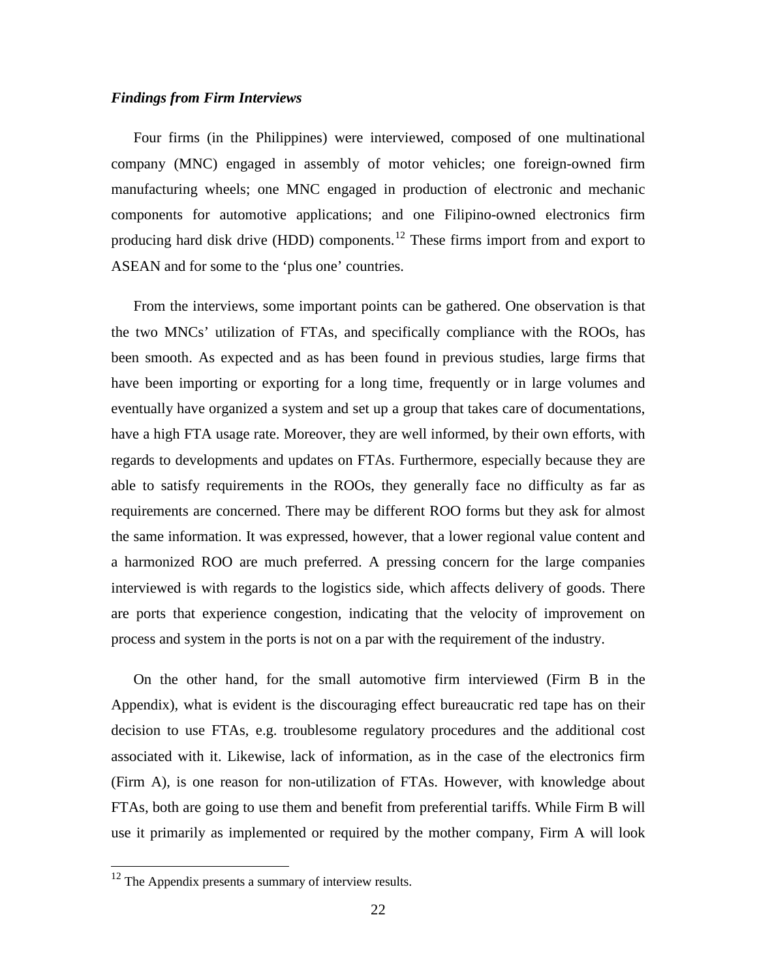#### *Findings from Firm Interviews*

Four firms (in the Philippines) were interviewed, composed of one multinational company (MNC) engaged in assembly of motor vehicles; one foreign-owned firm manufacturing wheels; one MNC engaged in production of electronic and mechanic components for automotive applications; and one Filipino-owned electronics firm producing hard disk drive (HDD) components.<sup>[12](#page-22-0)</sup> These firms import from and export to ASEAN and for some to the 'plus one' countries.

From the interviews, some important points can be gathered. One observation is that the two MNCs' utilization of FTAs, and specifically compliance with the ROOs, has been smooth. As expected and as has been found in previous studies, large firms that have been importing or exporting for a long time, frequently or in large volumes and eventually have organized a system and set up a group that takes care of documentations, have a high FTA usage rate. Moreover, they are well informed, by their own efforts, with regards to developments and updates on FTAs. Furthermore, especially because they are able to satisfy requirements in the ROOs, they generally face no difficulty as far as requirements are concerned. There may be different ROO forms but they ask for almost the same information. It was expressed, however, that a lower regional value content and a harmonized ROO are much preferred. A pressing concern for the large companies interviewed is with regards to the logistics side, which affects delivery of goods. There are ports that experience congestion, indicating that the velocity of improvement on process and system in the ports is not on a par with the requirement of the industry.

On the other hand, for the small automotive firm interviewed (Firm B in the Appendix), what is evident is the discouraging effect bureaucratic red tape has on their decision to use FTAs, e.g. troublesome regulatory procedures and the additional cost associated with it. Likewise, lack of information, as in the case of the electronics firm (Firm A), is one reason for non-utilization of FTAs. However, with knowledge about FTAs, both are going to use them and benefit from preferential tariffs. While Firm B will use it primarily as implemented or required by the mother company, Firm A will look

<span id="page-22-0"></span><sup>&</sup>lt;sup>12</sup> The Appendix presents a summary of interview results.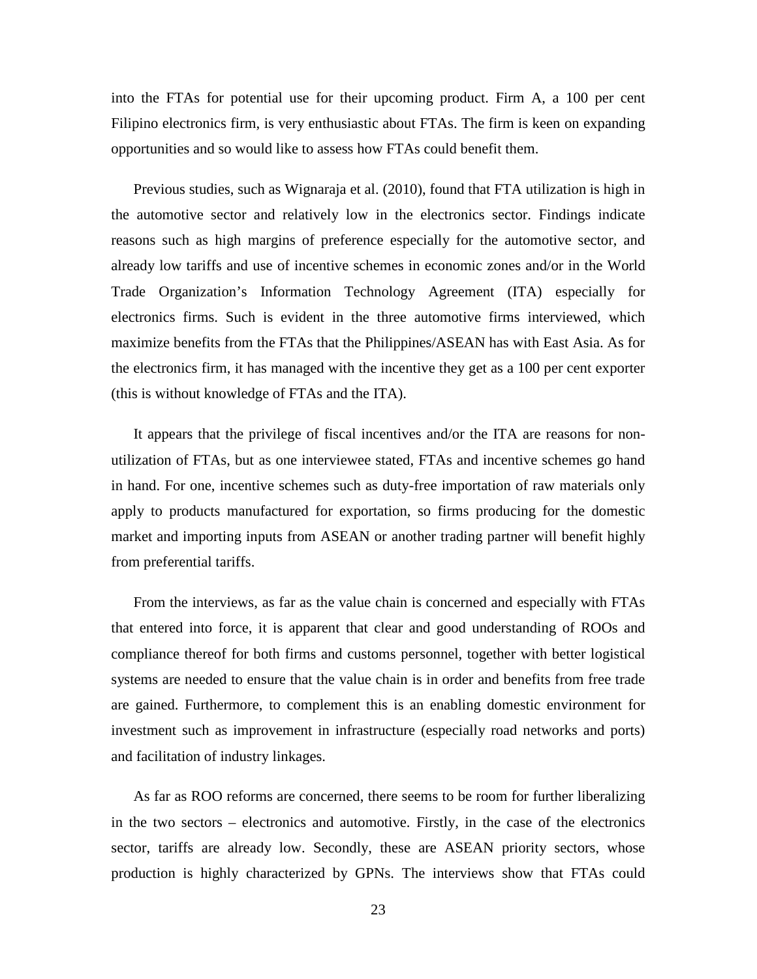into the FTAs for potential use for their upcoming product. Firm A, a 100 per cent Filipino electronics firm, is very enthusiastic about FTAs. The firm is keen on expanding opportunities and so would like to assess how FTAs could benefit them.

Previous studies, such as Wignaraja et al. (2010), found that FTA utilization is high in the automotive sector and relatively low in the electronics sector. Findings indicate reasons such as high margins of preference especially for the automotive sector, and already low tariffs and use of incentive schemes in economic zones and/or in the World Trade Organization's Information Technology Agreement (ITA) especially for electronics firms. Such is evident in the three automotive firms interviewed, which maximize benefits from the FTAs that the Philippines/ASEAN has with East Asia. As for the electronics firm, it has managed with the incentive they get as a 100 per cent exporter (this is without knowledge of FTAs and the ITA).

It appears that the privilege of fiscal incentives and/or the ITA are reasons for nonutilization of FTAs, but as one interviewee stated, FTAs and incentive schemes go hand in hand. For one, incentive schemes such as duty-free importation of raw materials only apply to products manufactured for exportation, so firms producing for the domestic market and importing inputs from ASEAN or another trading partner will benefit highly from preferential tariffs.

From the interviews, as far as the value chain is concerned and especially with FTAs that entered into force, it is apparent that clear and good understanding of ROOs and compliance thereof for both firms and customs personnel, together with better logistical systems are needed to ensure that the value chain is in order and benefits from free trade are gained. Furthermore, to complement this is an enabling domestic environment for investment such as improvement in infrastructure (especially road networks and ports) and facilitation of industry linkages.

As far as ROO reforms are concerned, there seems to be room for further liberalizing in the two sectors – electronics and automotive. Firstly, in the case of the electronics sector, tariffs are already low. Secondly, these are ASEAN priority sectors, whose production is highly characterized by GPNs. The interviews show that FTAs could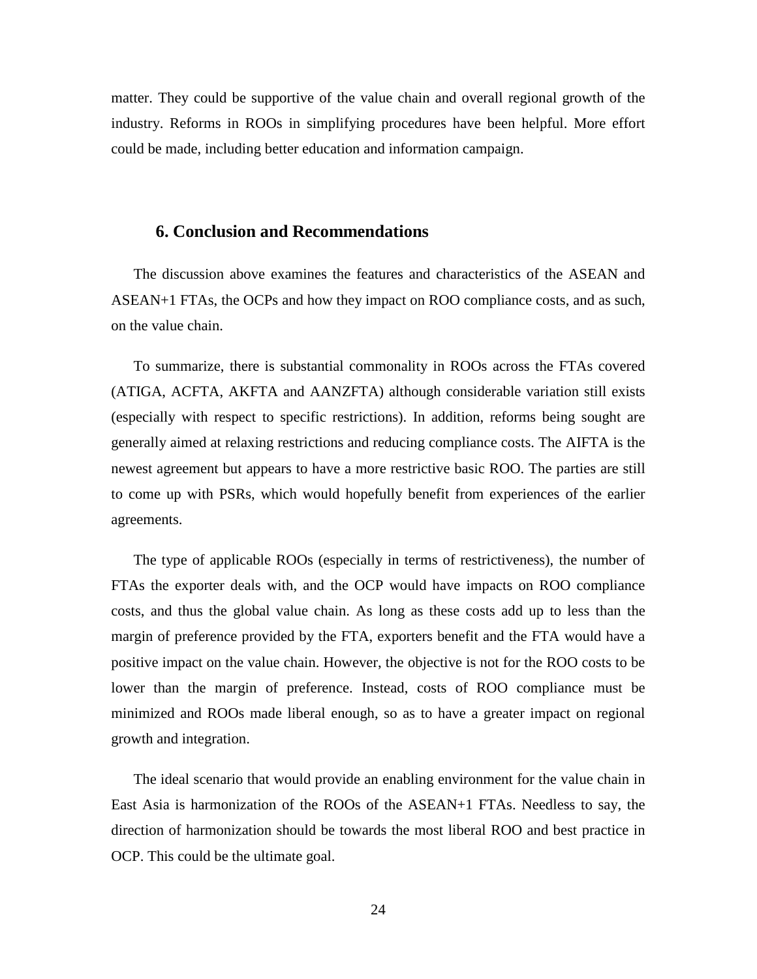matter. They could be supportive of the value chain and overall regional growth of the industry. Reforms in ROOs in simplifying procedures have been helpful. More effort could be made, including better education and information campaign.

#### **6. Conclusion and Recommendations**

The discussion above examines the features and characteristics of the ASEAN and ASEAN+1 FTAs, the OCPs and how they impact on ROO compliance costs, and as such, on the value chain.

To summarize, there is substantial commonality in ROOs across the FTAs covered (ATIGA, ACFTA, AKFTA and AANZFTA) although considerable variation still exists (especially with respect to specific restrictions). In addition, reforms being sought are generally aimed at relaxing restrictions and reducing compliance costs. The AIFTA is the newest agreement but appears to have a more restrictive basic ROO. The parties are still to come up with PSRs, which would hopefully benefit from experiences of the earlier agreements.

The type of applicable ROOs (especially in terms of restrictiveness), the number of FTAs the exporter deals with, and the OCP would have impacts on ROO compliance costs, and thus the global value chain. As long as these costs add up to less than the margin of preference provided by the FTA, exporters benefit and the FTA would have a positive impact on the value chain. However, the objective is not for the ROO costs to be lower than the margin of preference. Instead, costs of ROO compliance must be minimized and ROOs made liberal enough, so as to have a greater impact on regional growth and integration.

The ideal scenario that would provide an enabling environment for the value chain in East Asia is harmonization of the ROOs of the ASEAN+1 FTAs. Needless to say, the direction of harmonization should be towards the most liberal ROO and best practice in OCP. This could be the ultimate goal.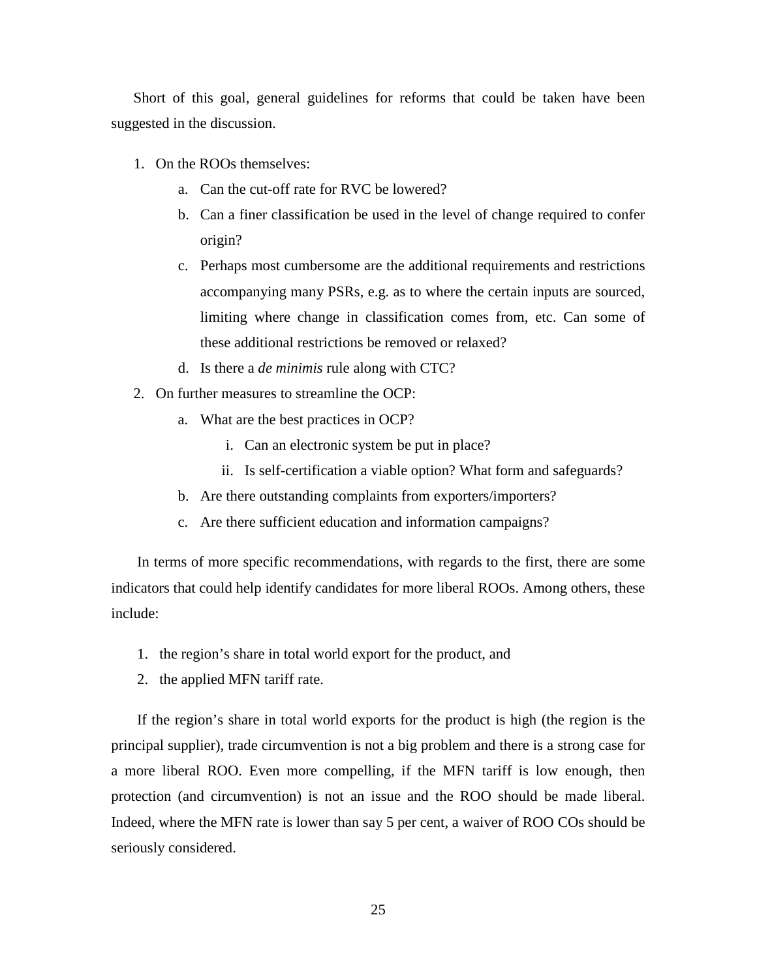Short of this goal, general guidelines for reforms that could be taken have been suggested in the discussion.

- 1. On the ROOs themselves:
	- a. Can the cut-off rate for RVC be lowered?
	- b. Can a finer classification be used in the level of change required to confer origin?
	- c. Perhaps most cumbersome are the additional requirements and restrictions accompanying many PSRs, e.g. as to where the certain inputs are sourced, limiting where change in classification comes from, etc. Can some of these additional restrictions be removed or relaxed?
	- d. Is there a *de minimis* rule along with CTC?
- 2. On further measures to streamline the OCP:
	- a. What are the best practices in OCP?
		- i. Can an electronic system be put in place?
		- ii. Is self-certification a viable option? What form and safeguards?
	- b. Are there outstanding complaints from exporters/importers?
	- c. Are there sufficient education and information campaigns?

In terms of more specific recommendations, with regards to the first, there are some indicators that could help identify candidates for more liberal ROOs. Among others, these include:

- 1. the region's share in total world export for the product, and
- 2. the applied MFN tariff rate.

If the region's share in total world exports for the product is high (the region is the principal supplier), trade circumvention is not a big problem and there is a strong case for a more liberal ROO. Even more compelling, if the MFN tariff is low enough, then protection (and circumvention) is not an issue and the ROO should be made liberal. Indeed, where the MFN rate is lower than say 5 per cent, a waiver of ROO COs should be seriously considered.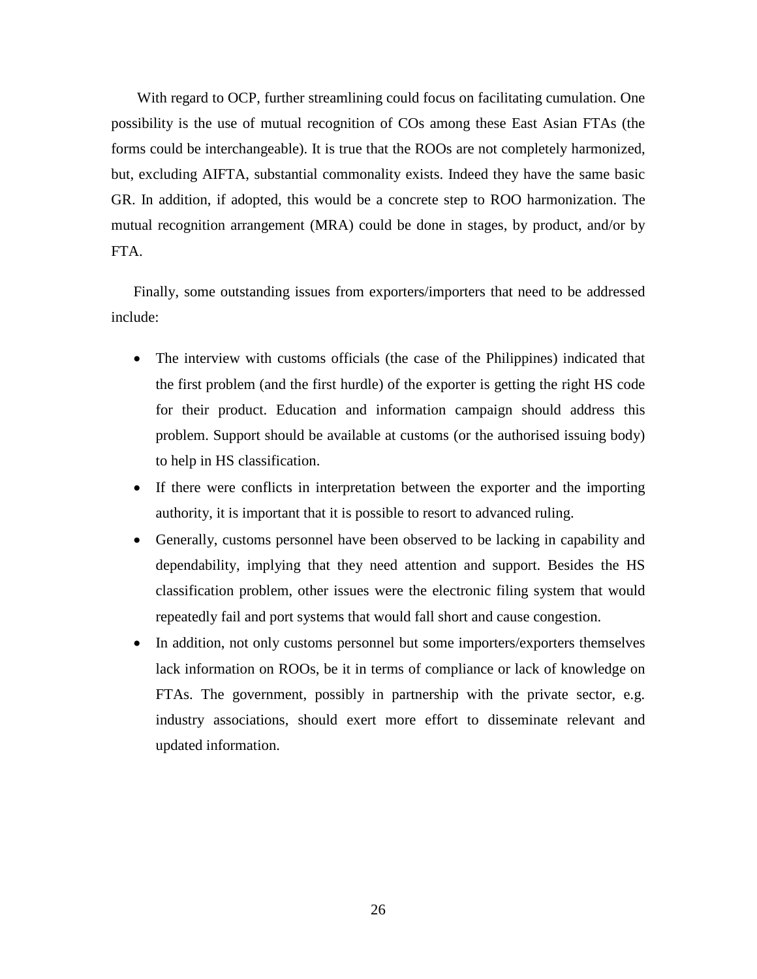With regard to OCP, further streamlining could focus on facilitating cumulation. One possibility is the use of mutual recognition of COs among these East Asian FTAs (the forms could be interchangeable). It is true that the ROOs are not completely harmonized, but, excluding AIFTA, substantial commonality exists. Indeed they have the same basic GR. In addition, if adopted, this would be a concrete step to ROO harmonization. The mutual recognition arrangement (MRA) could be done in stages, by product, and/or by FTA.

Finally, some outstanding issues from exporters/importers that need to be addressed include:

- The interview with customs officials (the case of the Philippines) indicated that the first problem (and the first hurdle) of the exporter is getting the right HS code for their product. Education and information campaign should address this problem. Support should be available at customs (or the authorised issuing body) to help in HS classification.
- If there were conflicts in interpretation between the exporter and the importing authority, it is important that it is possible to resort to advanced ruling.
- Generally, customs personnel have been observed to be lacking in capability and dependability, implying that they need attention and support. Besides the HS classification problem, other issues were the electronic filing system that would repeatedly fail and port systems that would fall short and cause congestion.
- In addition, not only customs personnel but some importers/exporters themselves lack information on ROOs, be it in terms of compliance or lack of knowledge on FTAs. The government, possibly in partnership with the private sector, e.g. industry associations, should exert more effort to disseminate relevant and updated information.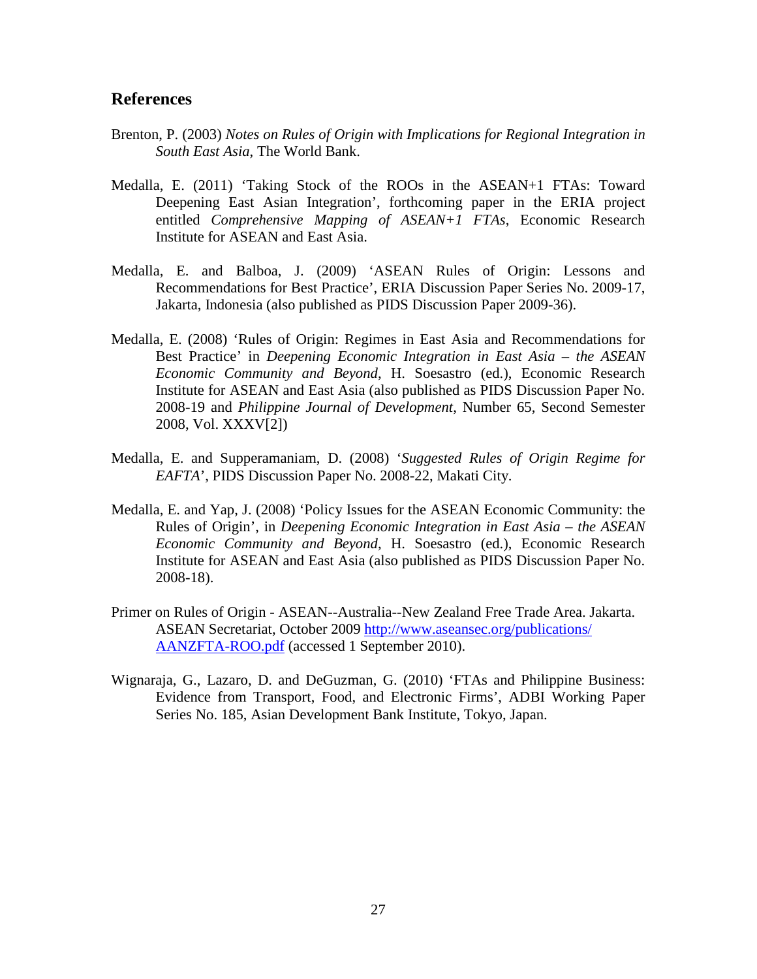#### **References**

- Brenton, P. (2003) *Notes on Rules of Origin with Implications for Regional Integration in South East Asia*, The World Bank.
- Medalla, E. (2011) 'Taking Stock of the ROOs in the ASEAN+1 FTAs: Toward Deepening East Asian Integration', forthcoming paper in the ERIA project entitled *Comprehensive Mapping of ASEAN+1 FTAs*, Economic Research Institute for ASEAN and East Asia.
- Medalla, E. and Balboa, J. (2009) 'ASEAN Rules of Origin: Lessons and Recommendations for Best Practice', ERIA Discussion Paper Series No. 2009-17, Jakarta, Indonesia (also published as PIDS Discussion Paper 2009-36).
- Medalla, E. (2008) 'Rules of Origin: Regimes in East Asia and Recommendations for Best Practice' in *Deepening Economic Integration in East Asia – the ASEAN Economic Community and Beyond*, H. Soesastro (ed.), Economic Research Institute for ASEAN and East Asia (also published as PIDS Discussion Paper No. 2008-19 and *Philippine Journal of Development*, Number 65, Second Semester 2008, Vol. XXXV[2])
- Medalla, E. and Supperamaniam, D. (2008) '*Suggested Rules of Origin Regime for EAFTA*', PIDS Discussion Paper No. 2008-22, Makati City.
- Medalla, E. and Yap, J. (2008) 'Policy Issues for the ASEAN Economic Community: the Rules of Origin', in *Deepening Economic Integration in East Asia – the ASEAN Economic Community and Beyond*, H. Soesastro (ed.), Economic Research Institute for ASEAN and East Asia (also published as PIDS Discussion Paper No. 2008-18).
- Primer on Rules of Origin ASEAN--Australia--New Zealand Free Trade Area. Jakarta. ASEAN Secretariat, October 2009 [http://www.aseansec.org/publications/](http://www.aseansec.org/publications/%20AANZFTA-ROO.pdf)  [AANZFTA-ROO.pdf](http://www.aseansec.org/publications/%20AANZFTA-ROO.pdf) (accessed 1 September 2010).
- Wignaraja, G., Lazaro, D. and DeGuzman, G. (2010) 'FTAs and Philippine Business: Evidence from Transport, Food, and Electronic Firms', ADBI Working Paper Series No. 185, Asian Development Bank Institute, Tokyo, Japan.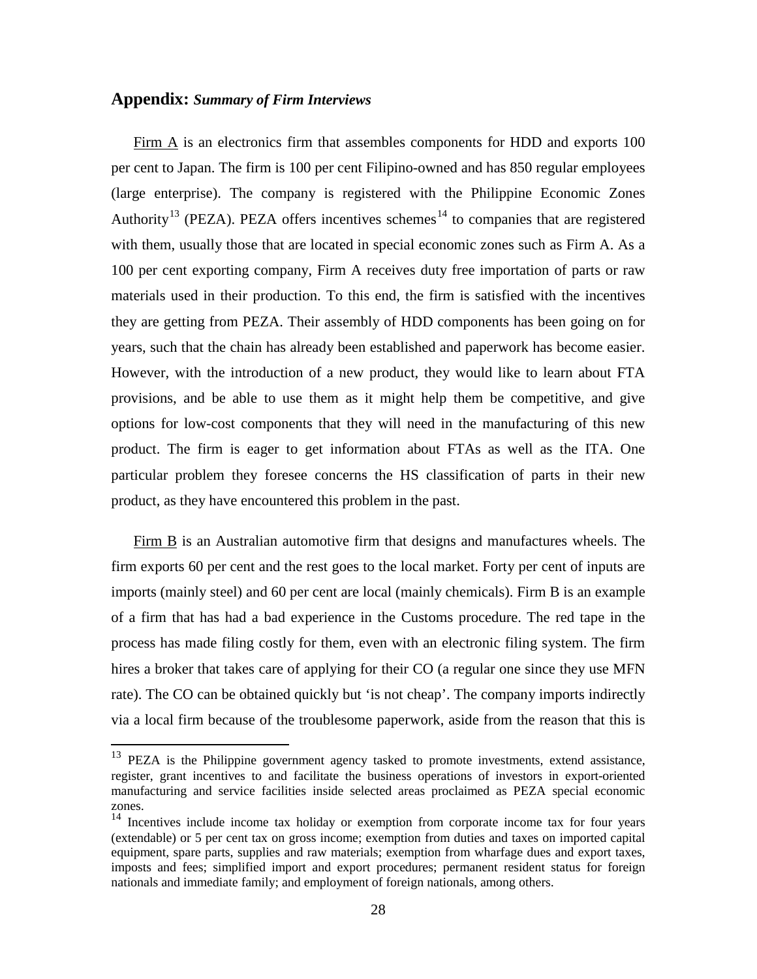#### **Appendix:** *Summary of Firm Interviews*

Firm A is an electronics firm that assembles components for HDD and exports 100 per cent to Japan. The firm is 100 per cent Filipino-owned and has 850 regular employees (large enterprise). The company is registered with the Philippine Economic Zones Authority<sup>[13](#page-28-0)</sup> (PEZA). PEZA offers incentives schemes<sup>[14](#page-28-0)</sup> to companies that are registered with them, usually those that are located in special economic zones such as Firm A. As a 100 per cent exporting company, Firm A receives duty free importation of parts or raw materials used in their production. To this end, the firm is satisfied with the incentives they are getting from PEZA. Their assembly of HDD components has been going on for years, such that the chain has already been established and paperwork has become easier. However, with the introduction of a new product, they would like to learn about FTA provisions, and be able to use them as it might help them be competitive, and give options for low-cost components that they will need in the manufacturing of this new product. The firm is eager to get information about FTAs as well as the ITA. One particular problem they foresee concerns the HS classification of parts in their new product, as they have encountered this problem in the past.

Firm B is an Australian automotive firm that designs and manufactures wheels. The firm exports 60 per cent and the rest goes to the local market. Forty per cent of inputs are imports (mainly steel) and 60 per cent are local (mainly chemicals). Firm B is an example of a firm that has had a bad experience in the Customs procedure. The red tape in the process has made filing costly for them, even with an electronic filing system. The firm hires a broker that takes care of applying for their CO (a regular one since they use MFN rate). The CO can be obtained quickly but 'is not cheap'. The company imports indirectly via a local firm because of the troublesome paperwork, aside from the reason that this is

<span id="page-28-0"></span><sup>&</sup>lt;sup>13</sup> PEZA is the Philippine government agency tasked to promote investments, extend assistance, register, grant incentives to and facilitate the business operations of investors in export-oriented manufacturing and service facilities inside selected areas proclaimed as PEZA special economic zones.

<sup>&</sup>lt;sup>14</sup> Incentives include income tax holiday or exemption from corporate income tax for four years (extendable) or 5 per cent tax on gross income; exemption from duties and taxes on imported capital equipment, spare parts, supplies and raw materials; exemption from wharfage dues and export taxes, imposts and fees; simplified import and export procedures; permanent resident status for foreign nationals and immediate family; and employment of foreign nationals, among others.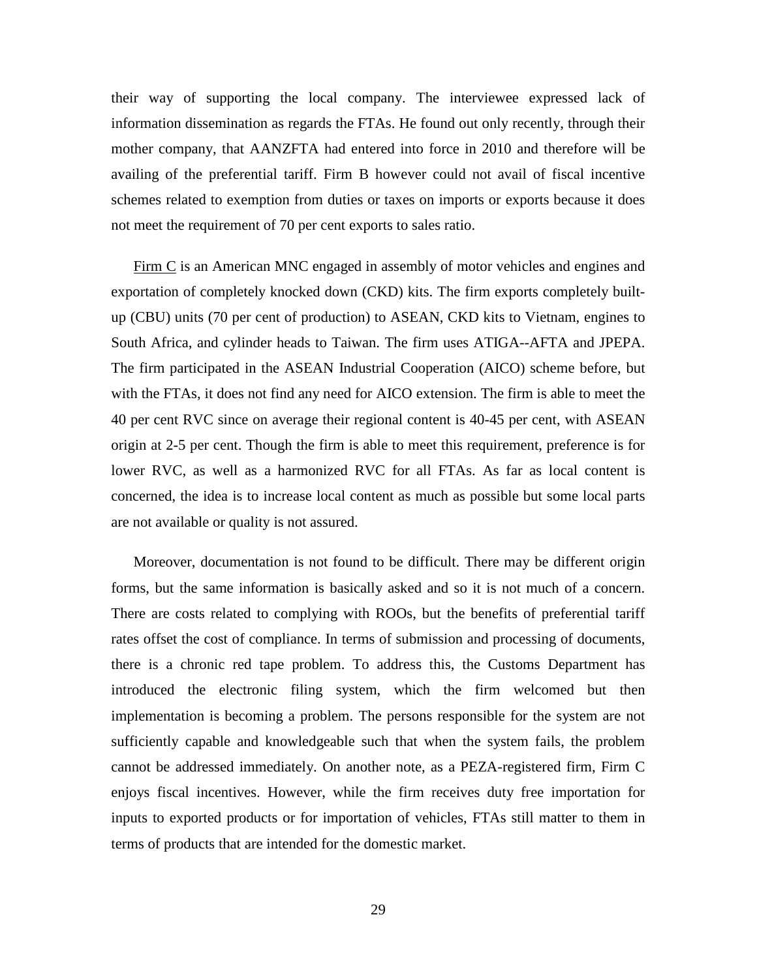their way of supporting the local company. The interviewee expressed lack of information dissemination as regards the FTAs. He found out only recently, through their mother company, that AANZFTA had entered into force in 2010 and therefore will be availing of the preferential tariff. Firm B however could not avail of fiscal incentive schemes related to exemption from duties or taxes on imports or exports because it does not meet the requirement of 70 per cent exports to sales ratio.

Firm C is an American MNC engaged in assembly of motor vehicles and engines and exportation of completely knocked down (CKD) kits. The firm exports completely builtup (CBU) units (70 per cent of production) to ASEAN, CKD kits to Vietnam, engines to South Africa, and cylinder heads to Taiwan. The firm uses ATIGA--AFTA and JPEPA. The firm participated in the ASEAN Industrial Cooperation (AICO) scheme before, but with the FTAs, it does not find any need for AICO extension. The firm is able to meet the 40 per cent RVC since on average their regional content is 40-45 per cent, with ASEAN origin at 2-5 per cent. Though the firm is able to meet this requirement, preference is for lower RVC, as well as a harmonized RVC for all FTAs. As far as local content is concerned, the idea is to increase local content as much as possible but some local parts are not available or quality is not assured.

Moreover, documentation is not found to be difficult. There may be different origin forms, but the same information is basically asked and so it is not much of a concern. There are costs related to complying with ROOs, but the benefits of preferential tariff rates offset the cost of compliance. In terms of submission and processing of documents, there is a chronic red tape problem. To address this, the Customs Department has introduced the electronic filing system, which the firm welcomed but then implementation is becoming a problem. The persons responsible for the system are not sufficiently capable and knowledgeable such that when the system fails, the problem cannot be addressed immediately. On another note, as a PEZA-registered firm, Firm C enjoys fiscal incentives. However, while the firm receives duty free importation for inputs to exported products or for importation of vehicles, FTAs still matter to them in terms of products that are intended for the domestic market.